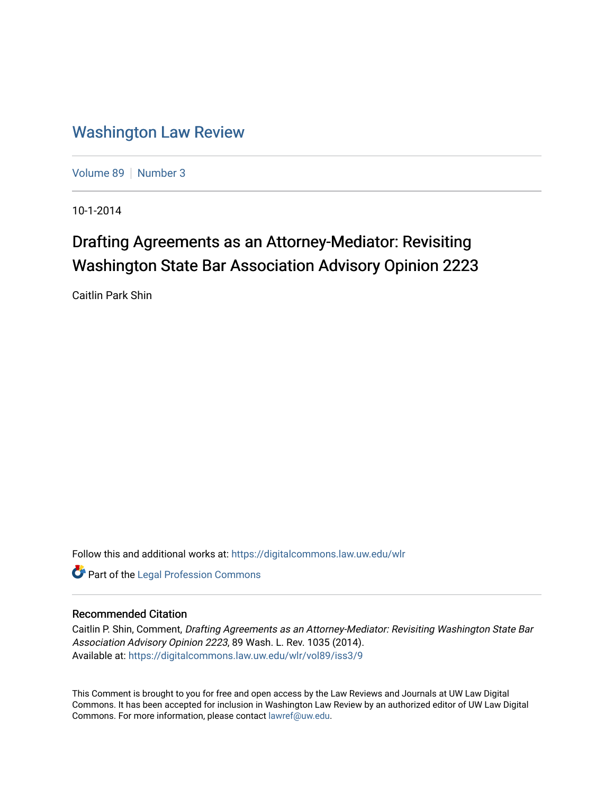# [Washington Law Review](https://digitalcommons.law.uw.edu/wlr)

[Volume 89](https://digitalcommons.law.uw.edu/wlr/vol89) | [Number 3](https://digitalcommons.law.uw.edu/wlr/vol89/iss3)

10-1-2014

# Drafting Agreements as an Attorney-Mediator: Revisiting Washington State Bar Association Advisory Opinion 2223

Caitlin Park Shin

Follow this and additional works at: [https://digitalcommons.law.uw.edu/wlr](https://digitalcommons.law.uw.edu/wlr?utm_source=digitalcommons.law.uw.edu%2Fwlr%2Fvol89%2Fiss3%2F9&utm_medium=PDF&utm_campaign=PDFCoverPages)

**Part of the [Legal Profession Commons](http://network.bepress.com/hgg/discipline/1075?utm_source=digitalcommons.law.uw.edu%2Fwlr%2Fvol89%2Fiss3%2F9&utm_medium=PDF&utm_campaign=PDFCoverPages)** 

# Recommended Citation

Caitlin P. Shin, Comment, Drafting Agreements as an Attorney-Mediator: Revisiting Washington State Bar Association Advisory Opinion 2223, 89 Wash. L. Rev. 1035 (2014). Available at: [https://digitalcommons.law.uw.edu/wlr/vol89/iss3/9](https://digitalcommons.law.uw.edu/wlr/vol89/iss3/9?utm_source=digitalcommons.law.uw.edu%2Fwlr%2Fvol89%2Fiss3%2F9&utm_medium=PDF&utm_campaign=PDFCoverPages)

This Comment is brought to you for free and open access by the Law Reviews and Journals at UW Law Digital Commons. It has been accepted for inclusion in Washington Law Review by an authorized editor of UW Law Digital Commons. For more information, please contact [lawref@uw.edu](mailto:lawref@uw.edu).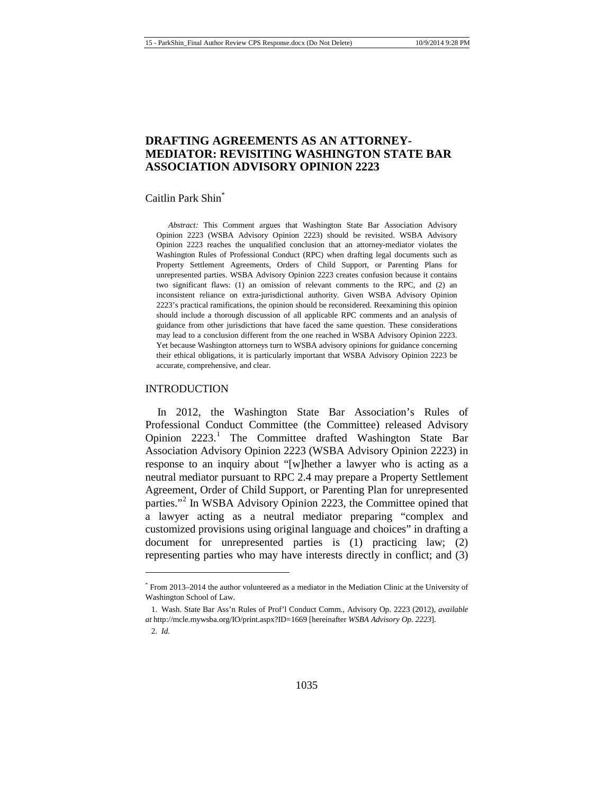# **DRAFTING AGREEMENTS AS AN ATTORNEY-MEDIATOR: REVISITING WASHINGTON STATE BAR ASSOCIATION ADVISORY OPINION 2223**

#### Caitlin Park Shin<sup>\*</sup>

*Abstract:* This Comment argues that Washington State Bar Association Advisory Opinion 2223 (WSBA Advisory Opinion 2223) should be revisited. WSBA Advisory Opinion 2223 reaches the unqualified conclusion that an attorney-mediator violates the Washington Rules of Professional Conduct (RPC) when drafting legal documents such as Property Settlement Agreements, Orders of Child Support, or Parenting Plans for unrepresented parties. WSBA Advisory Opinion 2223 creates confusion because it contains two significant flaws: (1) an omission of relevant comments to the RPC, and (2) an inconsistent reliance on extra-jurisdictional authority. Given WSBA Advisory Opinion 2223's practical ramifications, the opinion should be reconsidered. Reexamining this opinion should include a thorough discussion of all applicable RPC comments and an analysis of guidance from other jurisdictions that have faced the same question. These considerations may lead to a conclusion different from the one reached in WSBA Advisory Opinion 2223. Yet because Washington attorneys turn to WSBA advisory opinions for guidance concerning their ethical obligations, it is particularly important that WSBA Advisory Opinion 2223 be accurate, comprehensive, and clear.

#### INTRODUCTION

<span id="page-1-2"></span>In 2012, the Washington State Bar Association's Rules of Professional Conduct Committee (the Committee) released Advisory Opinion  $2223$ <sup>[1](#page-1-0)</sup> The Committee drafted Washington State Bar Association Advisory Opinion 2223 (WSBA Advisory Opinion 2223) in response to an inquiry about "[w]hether a lawyer who is acting as a neutral mediator pursuant to RPC 2.4 may prepare a Property Settlement Agreement, Order of Child Support, or Parenting Plan for unrepresented parties."<sup>[2](#page-1-1)</sup> In WSBA Advisory Opinion 2223, the Committee opined that a lawyer acting as a neutral mediator preparing "complex and customized provisions using original language and choices" in drafting a document for unrepresented parties is  $(1)$  practicing law;  $(2)$ representing parties who may have interests directly in conflict; and (3)

<span id="page-1-0"></span><sup>\*</sup> From 2013–2014 the author volunteered as a mediator in the Mediation Clinic at the University of Washington School of Law.

<span id="page-1-1"></span><sup>1.</sup> Wash. State Bar Ass'n Rules of Prof'l Conduct Comm., Advisory Op. 2223 (2012), *available at* http://mcle.mywsba.org/IO/print.aspx?ID=1669 [hereinafter *WSBA Advisory Op. 2223*].

<sup>2.</sup> *Id.*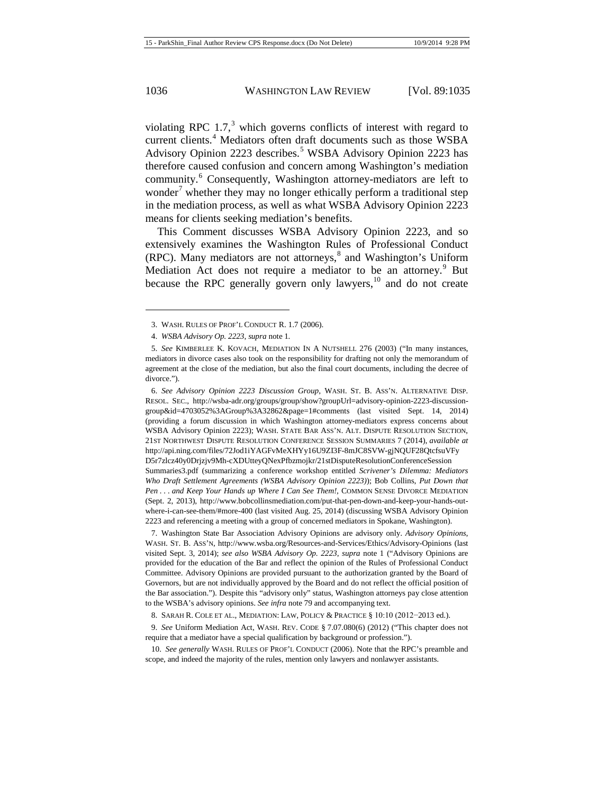<span id="page-2-10"></span><span id="page-2-9"></span>violating RPC  $1.7$ ,<sup>[3](#page-2-0)</sup> which governs conflicts of interest with regard to current clients.<sup>[4](#page-2-1)</sup> Mediators often draft documents such as those WSBA Advisory Opinion 2223 describes.<sup>[5](#page-2-2)</sup> WSBA Advisory Opinion 2223 has therefore caused confusion and concern among Washington's mediation community.<sup>[6](#page-2-3)</sup> Consequently, Washington attorney-mediators are left to wonder<sup>[7](#page-2-4)</sup> whether they may no longer ethically perform a traditional step in the mediation process, as well as what WSBA Advisory Opinion 2223 means for clients seeking mediation's benefits.

<span id="page-2-8"></span>This Comment discusses WSBA Advisory Opinion 2223, and so extensively examines the Washington Rules of Professional Conduct  $(RPC)$ . Many mediators are not attorneys, $\delta$  and Washington's Uniform Mediation Act does not require a mediator to be an attorney.<sup>[9](#page-2-6)</sup> But because the RPC generally govern only lawyers, $^{10}$  $^{10}$  $^{10}$  and do not create

<span id="page-2-3"></span>6. *See Advisory Opinion 2223 Discussion Group*, WASH. ST. B. ASS'N. ALTERNATIVE DISP. RESOL. SEC., http://wsba-adr.org/groups/group/show?groupUrl=advisory-opinion-2223-discussiongroup&id=4703052%3AGroup%3A32862&page=1#comments (last visited Sept. 14, 2014) (providing a forum discussion in which Washington attorney-mediators express concerns about WSBA Advisory Opinion 2223); WASH. STATE BAR ASS'N. ALT. DISPUTE RESOLUTION SECTION, 21ST NORTHWEST DISPUTE RESOLUTION CONFERENCE SESSION SUMMARIES 7 (2014), *available at*  http://api.ning.com/files/72Jod1iYAGFvMeXHYy16U9ZI3F-8mJC8SVW-gjNQUF28QtcfsuVFy D5r7zlcz40y0Drjzjv9Mh-cXDUtteyQNexPfbzmojkr/21stDisputeResolutionConferenceSession Summaries3.pdf (summarizing a conference workshop entitled *Scrivener's Dilemma: Mediators Who Draft Settlement Agreements (WSBA Advisory Opinion 2223)*); Bob Collins, *Put Down that Pen . . . and Keep Your Hands up Where I Can See Them!*, COMMON SENSE DIVORCE MEDIATION (Sept. 2, 2013), http://www.bobcollinsmediation.com/put-that-pen-down-and-keep-your-hands-outwhere-i-can-see-them/#more-400 (last visited Aug. 25, 2014) (discussing WSBA Advisory Opinion 2223 and referencing a meeting with a group of concerned mediators in Spokane, Washington).

<span id="page-2-4"></span>7. Washington State Bar Association Advisory Opinions are advisory only. *Advisory Opinions*, WASH. ST. B. ASS'N, http://www.wsba.org/Resources-and-Services/Ethics/Advisory-Opinions (last visited Sept. 3, 2014); *see also WSBA Advisory Op. 2223*, *supra* note [1](#page-1-2) ("Advisory Opinions are provided for the education of the Bar and reflect the opinion of the Rules of Professional Conduct Committee. Advisory Opinions are provided pursuant to the authorization granted by the Board of Governors, but are not individually approved by the Board and do not reflect the official position of the Bar association."). Despite this "advisory only" status, Washington attorneys pay close attention to the WSBA's advisory opinions. *See infra* not[e 79](#page-9-0) and accompanying text.

8. SARAH R. COLE ET AL., MEDIATION: LAW, POLICY & PRACTICE § 10:10 (2012−2013 ed.).

<span id="page-2-6"></span><span id="page-2-5"></span>9. *See* Uniform Mediation Act, WASH. REV. CODE § 7.07.080(6) (2012) ("This chapter does not require that a mediator have a special qualification by background or profession.").

<span id="page-2-7"></span>10. *See generally* WASH. RULES OF PROF'L CONDUCT (2006). Note that the RPC's preamble and scope, and indeed the majority of the rules, mention only lawyers and nonlawyer assistants.

<sup>3.</sup> WASH. RULES OF PROF'L CONDUCT R. 1.7 (2006).

<sup>4.</sup> *WSBA Advisory Op. 2223*, *supra* not[e 1](#page-1-2)*.*

<span id="page-2-2"></span><span id="page-2-1"></span><span id="page-2-0"></span><sup>5.</sup> *See* KIMBERLEE K. KOVACH, MEDIATION IN A NUTSHELL 276 (2003) ("In many instances, mediators in divorce cases also took on the responsibility for drafting not only the memorandum of agreement at the close of the mediation, but also the final court documents, including the decree of divorce.").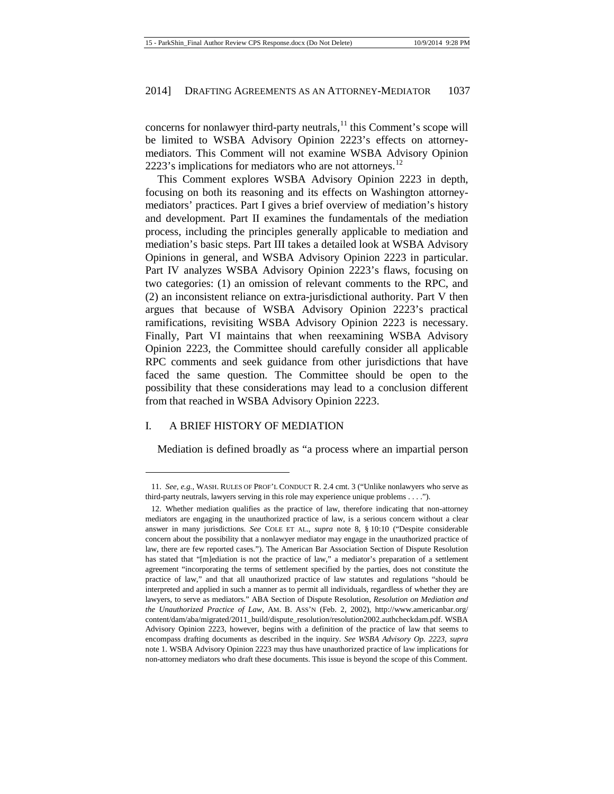concerns for nonlawyer third-party neutrals, $^{11}$  $^{11}$  $^{11}$  this Comment's scope will be limited to WSBA Advisory Opinion 2223's effects on attorneymediators. This Comment will not examine WSBA Advisory Opinion 2223's implications for mediators who are not attorneys.<sup>[12](#page-3-1)</sup>

This Comment explores WSBA Advisory Opinion 2223 in depth, focusing on both its reasoning and its effects on Washington attorneymediators' practices. Part I gives a brief overview of mediation's history and development. Part II examines the fundamentals of the mediation process, including the principles generally applicable to mediation and mediation's basic steps. Part III takes a detailed look at WSBA Advisory Opinions in general, and WSBA Advisory Opinion 2223 in particular. Part IV analyzes WSBA Advisory Opinion 2223's flaws, focusing on two categories: (1) an omission of relevant comments to the RPC, and (2) an inconsistent reliance on extra-jurisdictional authority. Part V then argues that because of WSBA Advisory Opinion 2223's practical ramifications, revisiting WSBA Advisory Opinion 2223 is necessary. Finally, Part VI maintains that when reexamining WSBA Advisory Opinion 2223, the Committee should carefully consider all applicable RPC comments and seek guidance from other jurisdictions that have faced the same question. The Committee should be open to the possibility that these considerations may lead to a conclusion different from that reached in WSBA Advisory Opinion 2223.

#### I. A BRIEF HISTORY OF MEDIATION

**.** 

Mediation is defined broadly as "a process where an impartial person

<span id="page-3-0"></span><sup>11.</sup> *See, e.g.*, WASH. RULES OF PROF'L CONDUCT R. 2.4 cmt. 3 ("Unlike nonlawyers who serve as third-party neutrals, lawyers serving in this role may experience unique problems . . . .").

<span id="page-3-1"></span><sup>12.</sup> Whether mediation qualifies as the practice of law, therefore indicating that non-attorney mediators are engaging in the unauthorized practice of law, is a serious concern without a clear answer in many jurisdictions. *See* COLE ET AL., *supra* note [8,](#page-2-8) § 10:10 ("Despite considerable concern about the possibility that a nonlawyer mediator may engage in the unauthorized practice of law, there are few reported cases."). The American Bar Association Section of Dispute Resolution has stated that "[m]ediation is not the practice of law," a mediator's preparation of a settlement agreement "incorporating the terms of settlement specified by the parties, does not constitute the practice of law," and that all unauthorized practice of law statutes and regulations "should be interpreted and applied in such a manner as to permit all individuals, regardless of whether they are lawyers, to serve as mediators." ABA Section of Dispute Resolution, *Resolution on Mediation and the Unauthorized Practice of Law*, AM. B. ASS'N (Feb. 2, 2002), http://www.americanbar.org/ content/dam/aba/migrated/2011\_build/dispute\_resolution/resolution2002.authcheckdam.pdf. WSBA Advisory Opinion 2223, however, begins with a definition of the practice of law that seems to encompass drafting documents as described in the inquiry. *See WSBA Advisory Op. 2223*, *supra* note [1.](#page-1-2) WSBA Advisory Opinion 2223 may thus have unauthorized practice of law implications for non-attorney mediators who draft these documents. This issue is beyond the scope of this Comment.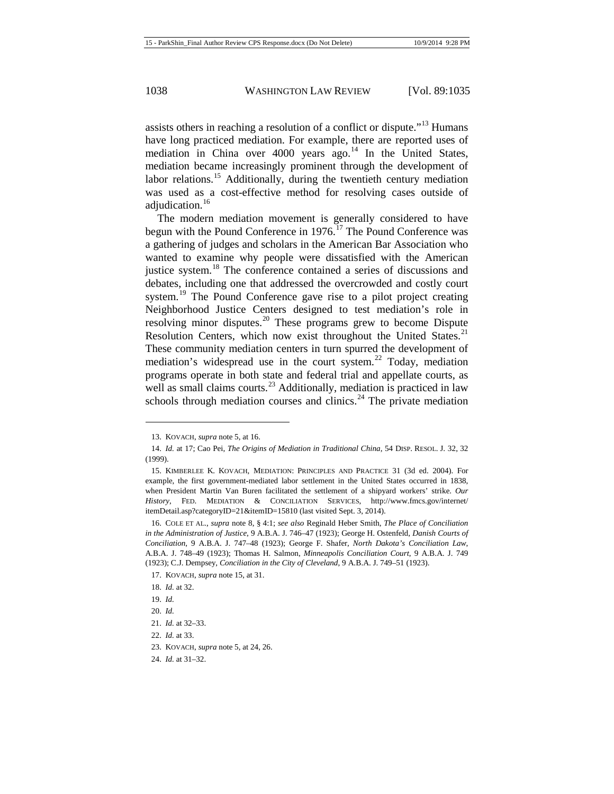assists others in reaching a resolution of a conflict or dispute."<sup>[13](#page-4-1)</sup> Humans have long practiced mediation. For example, there are reported uses of mediation in China over  $4000$  years ago.<sup>[14](#page-4-2)</sup> In the United States, mediation became increasingly prominent through the development of labor relations.<sup>[15](#page-4-3)</sup> Additionally, during the twentieth century mediation was used as a cost-effective method for resolving cases outside of adjudication.<sup>[16](#page-4-4)</sup>

<span id="page-4-0"></span>The modern mediation movement is generally considered to have begun with the Pound Conference in 1976.<sup>[17](#page-4-5)</sup> The Pound Conference was a gathering of judges and scholars in the American Bar Association who wanted to examine why people were dissatisfied with the American justice system.<sup>[18](#page-4-6)</sup> The conference contained a series of discussions and debates, including one that addressed the overcrowded and costly court system.<sup>[19](#page-4-7)</sup> The Pound Conference gave rise to a pilot project creating Neighborhood Justice Centers designed to test mediation's role in resolving minor disputes.<sup>[20](#page-4-8)</sup> These programs grew to become Dispute Resolution Centers, which now exist throughout the United States. $21$ These community mediation centers in turn spurred the development of mediation's widespread use in the court system.<sup>[22](#page-4-10)</sup> Today, mediation programs operate in both state and federal trial and appellate courts, as well as small claims courts.<sup>[23](#page-4-11)</sup> Additionally, mediation is practiced in law schools through mediation courses and clinics.<sup>[24](#page-4-12)</sup> The private mediation

<sup>13.</sup> KOVACH, *supra* not[e 5,](#page-2-9) at 16.

<span id="page-4-2"></span><span id="page-4-1"></span><sup>14.</sup> *Id.* at 17; Cao Pei, *The Origins of Mediation in Traditional China*, 54 DISP. RESOL. J. 32, 32 (1999).

<span id="page-4-3"></span><sup>15.</sup> KIMBERLEE K. KOVACH, MEDIATION: PRINCIPLES AND PRACTICE 31 (3d ed. 2004). For example, the first government-mediated labor settlement in the United States occurred in 1838, when President Martin Van Buren facilitated the settlement of a shipyard workers' strike. *Our History*, FED. MEDIATION & CONCILIATION SERVICES, http://www.fmcs.gov/internet/ itemDetail.asp?categoryID=21&itemID=15810 (last visited Sept. 3, 2014).

<span id="page-4-4"></span><sup>16.</sup> COLE ET AL., *supra* not[e 8,](#page-2-8) § 4:1; *see also* Reginald Heber Smith, *The Place of Conciliation in the Administration of Justice*, 9 A.B.A. J. 746–47 (1923); George H. Ostenfeld, *Danish Courts of Conciliation*, 9 A.B.A. J. 747–48 (1923); George F. Shafer, *North Dakota's Conciliation Law*, A.B.A. J. 748–49 (1923); Thomas H. Salmon, *Minneapolis Conciliation Court*, 9 A.B.A. J. 749 (1923); C.J. Dempsey, *Conciliation in the City of Cleveland*, 9 A.B.A. J. 749–51 (1923).

<span id="page-4-5"></span><sup>17.</sup> KOVACH, *supra* not[e 15,](#page-4-0) at 31.

<span id="page-4-6"></span><sup>18.</sup> *Id.* at 32.

<span id="page-4-7"></span><sup>19.</sup> *Id.*

<sup>20.</sup> *Id.*

<sup>21.</sup> *Id.* at 32–33.

<span id="page-4-11"></span><span id="page-4-10"></span><span id="page-4-9"></span><span id="page-4-8"></span><sup>22.</sup> *Id.* at 33.

<sup>23.</sup> KOVACH, *supra* not[e 5,](#page-2-9) at 24, 26.

<span id="page-4-12"></span><sup>24.</sup> *Id.* at 31–32.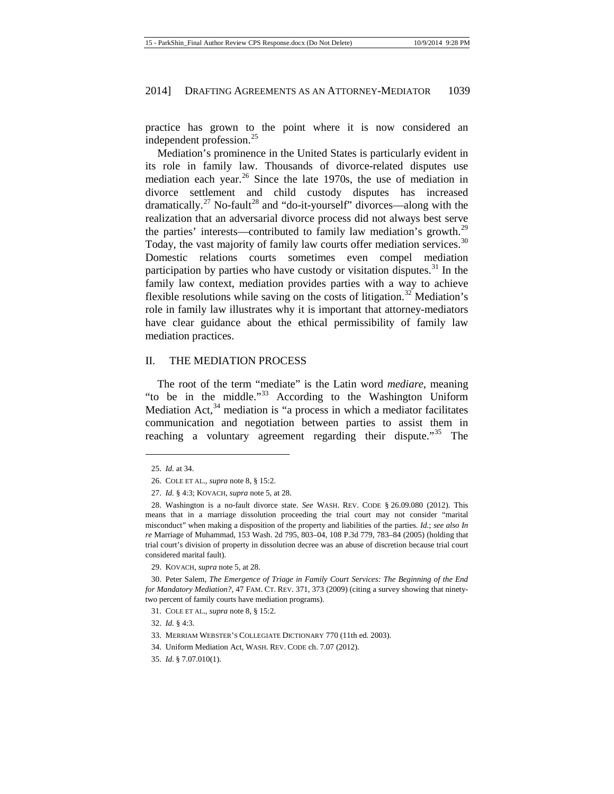practice has grown to the point where it is now considered an independent profession.<sup>[25](#page-5-0)</sup>

Mediation's prominence in the United States is particularly evident in its role in family law. Thousands of divorce-related disputes use mediation each year. $^{26}$  $^{26}$  $^{26}$  Since the late 1970s, the use of mediation in divorce settlement and child custody disputes has increased dramatically.<sup>[27](#page-5-2)</sup> No-fault<sup>[28](#page-5-3)</sup> and "do-it-yourself" divorces—along with the realization that an adversarial divorce process did not always best serve the parties' interests—contributed to family law mediation's growth.<sup>[29](#page-5-4)</sup> Today, the vast majority of family law courts offer mediation services.<sup>[30](#page-5-5)</sup> Domestic relations courts sometimes even compel mediation participation by parties who have custody or visitation disputes. $31$  In the family law context, mediation provides parties with a way to achieve flexible resolutions while saving on the costs of litigation.<sup>[32](#page-5-7)</sup> Mediation's role in family law illustrates why it is important that attorney-mediators have clear guidance about the ethical permissibility of family law mediation practices.

#### II. THE MEDIATION PROCESS

The root of the term "mediate" is the Latin word *mediare*, meaning "to be in the middle."[33](#page-5-8) According to the Washington Uniform Mediation Act, $34$  mediation is "a process in which a mediator facilitates communication and negotiation between parties to assist them in reaching a voluntary agreement regarding their dispute."<sup>[35](#page-5-10)</sup> The

<span id="page-5-0"></span>**.** 

<span id="page-5-3"></span><span id="page-5-2"></span><span id="page-5-1"></span>28. Washington is a no-fault divorce state. *See* WASH. REV. CODE § 26.09.080 (2012). This means that in a marriage dissolution proceeding the trial court may not consider "marital misconduct" when making a disposition of the property and liabilities of the parties. *Id.*; *see also In re* Marriage of Muhammad, 153 Wash. 2d 795, 803–04, 108 P.3d 779, 783–84 (2005) (holding that trial court's division of property in dissolution decree was an abuse of discretion because trial court considered marital fault).

29. KOVACH, *supra* not[e 5,](#page-2-9) at 28.

<span id="page-5-7"></span><span id="page-5-6"></span><span id="page-5-5"></span><span id="page-5-4"></span>30. Peter Salem, *The Emergence of Triage in Family Court Services: The Beginning of the End for Mandatory Mediation?*, 47 FAM. CT. REV. 371, 373 (2009) (citing a survey showing that ninetytwo percent of family courts have mediation programs).

31. COLE ET AL., *supra* not[e 8,](#page-2-8) § 15:2.

32. *Id.* § 4:3.

- <span id="page-5-8"></span>33. MERRIAM WEBSTER'S COLLEGIATE DICTIONARY 770 (11th ed. 2003).
- <span id="page-5-9"></span>34. Uniform Mediation Act, WASH. REV. CODE ch. 7.07 (2012).
- <span id="page-5-10"></span>35. *Id.* § 7.07.010(1).

<sup>25.</sup> *Id.* at 34.

<sup>26.</sup> COLE ET AL., *supra* not[e 8,](#page-2-8) § 15:2.

<sup>27.</sup> *Id.* § 4:3; KOVACH, *supra* not[e 5,](#page-2-9) at 28.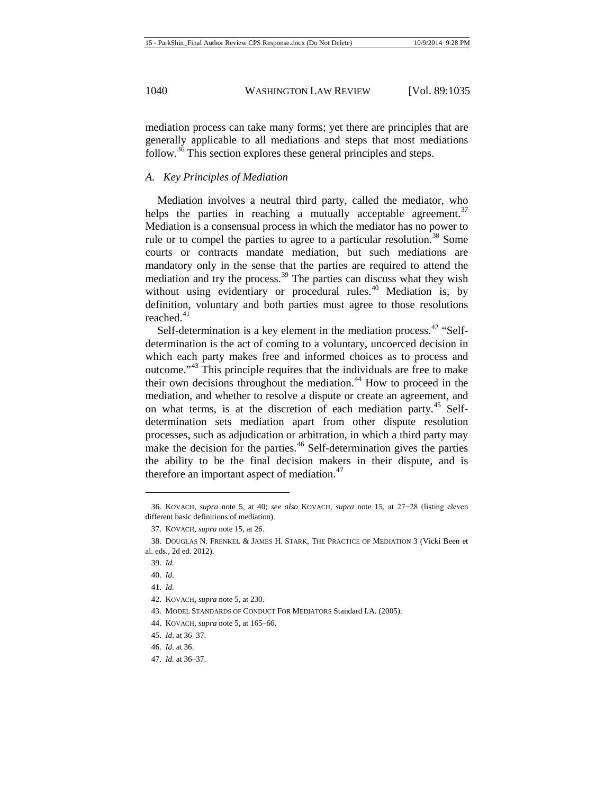## *A. Key Principles of Mediation*

<span id="page-6-12"></span>Mediation involves a neutral third party, called the mediator, who helps the parties in reaching a mutually acceptable agreement.<sup>[37](#page-6-1)</sup> Mediation is a consensual process in which the mediator has no power to rule or to compel the parties to agree to a particular resolution.<sup>[38](#page-6-2)</sup> Some courts or contracts mandate mediation, but such mediations are mandatory only in the sense that the parties are required to attend the mediation and try the process. $39$  The parties can discuss what they wish without using evidentiary or procedural rules.<sup>[40](#page-6-4)</sup> Mediation is, by definition, voluntary and both parties must agree to those resolutions reached. $41$ 

Self-determination is a key element in the mediation process.  $42$  "Selfdetermination is the act of coming to a voluntary, uncoerced decision in which each party makes free and informed choices as to process and outcome."[43](#page-6-7) This principle requires that the individuals are free to make their own decisions throughout the mediation.<sup>[44](#page-6-8)</sup> How to proceed in the mediation, and whether to resolve a dispute or create an agreement, and on what terms, is at the discretion of each mediation party.<sup>[45](#page-6-9)</sup> Selfdetermination sets mediation apart from other dispute resolution processes, such as adjudication or arbitration, in which a third party may make the decision for the parties.<sup>[46](#page-6-10)</sup> Self-determination gives the parties the ability to be the final decision makers in their dispute, and is therefore an important aspect of mediation. $47$ 

 $\overline{a}$ 

<span id="page-6-0"></span><sup>36.</sup> KOVACH, *supra* note [5,](#page-2-9) at 40; *see also* KOVACH, *supra* note [15,](#page-4-0) at 27−28 (listing eleven different basic definitions of mediation).

<sup>37.</sup> KOVACH, *supra* not[e 15,](#page-4-0) at 26.

<span id="page-6-4"></span><span id="page-6-3"></span><span id="page-6-2"></span><span id="page-6-1"></span><sup>38.</sup> DOUGLAS N. FRENKEL & JAMES H. STARK, THE PRACTICE OF MEDIATION 3 (Vicki Been et al. eds., 2d ed. 2012).

<sup>39.</sup> *Id.*

<sup>40.</sup> *Id.*

<span id="page-6-5"></span><sup>41.</sup> *Id.*

<sup>42.</sup> KOVACH, *supra* not[e 5,](#page-2-9) at 230.

<span id="page-6-8"></span><span id="page-6-7"></span><span id="page-6-6"></span><sup>43.</sup> MODEL STANDARDS OF CONDUCT FOR MEDIATORS Standard I.A. (2005).

<sup>44.</sup> KOVACH, *supra* not[e 5,](#page-2-9) at 165–66.

<span id="page-6-9"></span><sup>45.</sup> *Id*. at 36–37.

<span id="page-6-10"></span><sup>46.</sup> *Id.* at 36.

<span id="page-6-11"></span><sup>47.</sup> *Id.* at 36–37.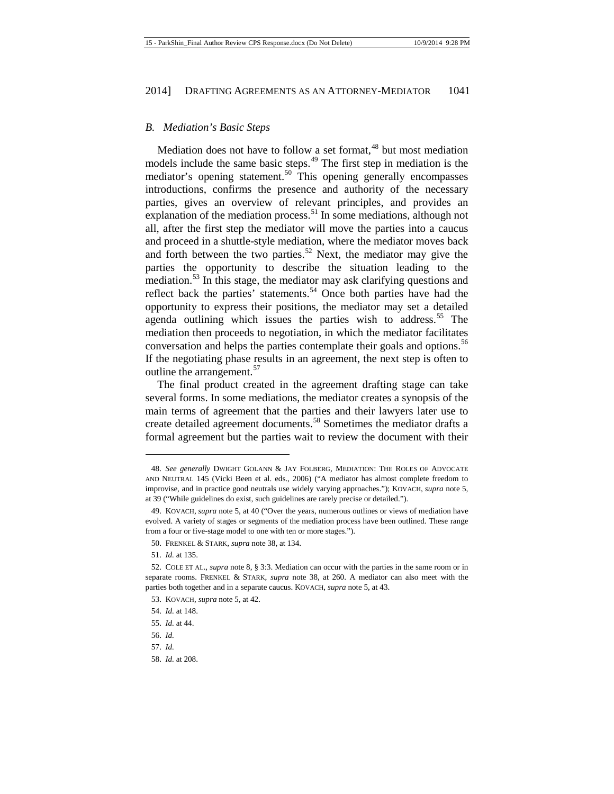#### *B. Mediation's Basic Steps*

Mediation does not have to follow a set format,<sup>[48](#page-7-0)</sup> but most mediation models include the same basic steps.<sup>[49](#page-7-1)</sup> The first step in mediation is the mediator's opening statement.<sup>[50](#page-7-2)</sup> This opening generally encompasses introductions, confirms the presence and authority of the necessary parties, gives an overview of relevant principles, and provides an explanation of the mediation process.<sup>[51](#page-7-3)</sup> In some mediations, although not all, after the first step the mediator will move the parties into a caucus and proceed in a shuttle-style mediation, where the mediator moves back and forth between the two parties.<sup>[52](#page-7-4)</sup> Next, the mediator may give the parties the opportunity to describe the situation leading to the mediation.<sup>[53](#page-7-5)</sup> In this stage, the mediator may ask clarifying questions and reflect back the parties' statements.<sup>[54](#page-7-6)</sup> Once both parties have had the opportunity to express their positions, the mediator may set a detailed agenda outlining which issues the parties wish to address.<sup>[55](#page-7-7)</sup> The mediation then proceeds to negotiation, in which the mediator facilitates conversation and helps the parties contemplate their goals and options.<sup>[56](#page-7-8)</sup> If the negotiating phase results in an agreement, the next step is often to outline the arrangement.  $57$ 

The final product created in the agreement drafting stage can take several forms. In some mediations, the mediator creates a synopsis of the main terms of agreement that the parties and their lawyers later use to create detailed agreement documents.[58](#page-7-10) Sometimes the mediator drafts a formal agreement but the parties wait to review the document with their

<span id="page-7-0"></span><sup>48.</sup> *See generally* DWIGHT GOLANN & JAY FOLBERG, MEDIATION: THE ROLES OF ADVOCATE AND NEUTRAL 145 (Vicki Been et al. eds., 2006) ("A mediator has almost complete freedom to improvise, and in practice good neutrals use widely varying approaches."); KOVACH, *supra* note [5,](#page-2-9)  at 39 ("While guidelines do exist, such guidelines are rarely precise or detailed.").

<span id="page-7-1"></span><sup>49.</sup> KOVACH, *supra* not[e 5,](#page-2-9) at 40 ("Over the years, numerous outlines or views of mediation have evolved. A variety of stages or segments of the mediation process have been outlined. These range from a four or five-stage model to one with ten or more stages.").

<sup>50.</sup> FRENKEL & STARK, *supra* not[e 38,](#page-6-12) at 134.

<sup>51.</sup> *Id.* at 135.

<span id="page-7-5"></span><span id="page-7-4"></span><span id="page-7-3"></span><span id="page-7-2"></span><sup>52.</sup> COLE ET AL., *supra* not[e 8,](#page-2-8) § 3:3. Mediation can occur with the parties in the same room or in separate rooms. FRENKEL & STARK, *supra* note [38,](#page-6-12) at 260. A mediator can also meet with the parties both together and in a separate caucus. KOVACH, *supra* not[e 5,](#page-2-9) at 43.

<sup>53.</sup> KOVACH, *supra* not[e 5,](#page-2-9) at 42.

<sup>54.</sup> *Id.* at 148.

<span id="page-7-8"></span><span id="page-7-7"></span><span id="page-7-6"></span><sup>55.</sup> *Id.* at 44.

<sup>56.</sup> *Id.*

<span id="page-7-10"></span><span id="page-7-9"></span><sup>57.</sup> *Id.*

<sup>58.</sup> *Id.* at 208.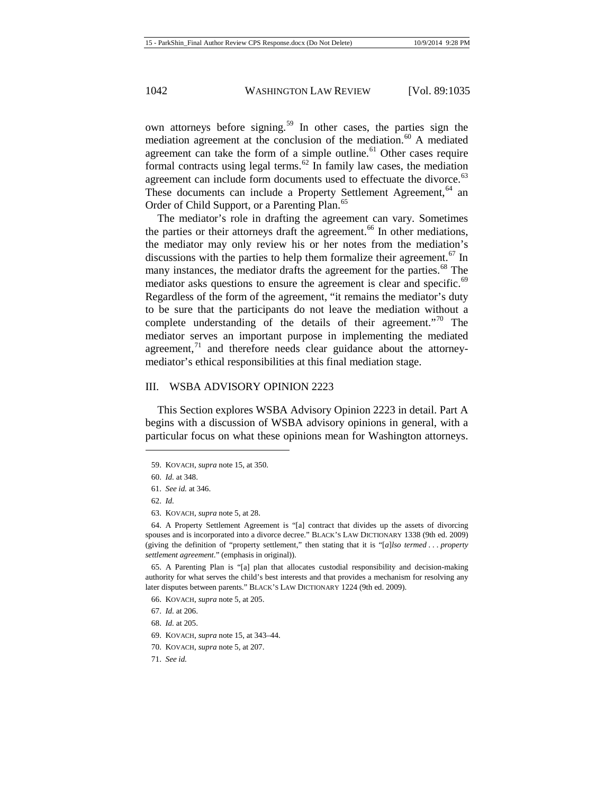own attorneys before signing.<sup>[59](#page-8-0)</sup> In other cases, the parties sign the mediation agreement at the conclusion of the mediation.<sup>[60](#page-8-1)</sup> A mediated agreement can take the form of a simple outline. $61$  Other cases require formal contracts using legal terms.<sup>[62](#page-8-3)</sup> In family law cases, the mediation agreement can include form documents used to effectuate the divorce.<sup>[63](#page-8-4)</sup> These documents can include a Property Settlement Agreement,<sup>[64](#page-8-5)</sup> an Order of Child Support, or a Parenting Plan.<sup>[65](#page-8-6)</sup>

The mediator's role in drafting the agreement can vary. Sometimes the parties or their attorneys draft the agreement.<sup>[66](#page-8-7)</sup> In other mediations, the mediator may only review his or her notes from the mediation's discussions with the parties to help them formalize their agreement.<sup>[67](#page-8-8)</sup> In many instances, the mediator drafts the agreement for the parties.<sup>[68](#page-8-9)</sup> The mediator asks questions to ensure the agreement is clear and specific.<sup>[69](#page-8-10)</sup> Regardless of the form of the agreement, "it remains the mediator's duty to be sure that the participants do not leave the mediation without a complete understanding of the details of their agreement."<sup>[70](#page-8-11)</sup> The mediator serves an important purpose in implementing the mediated agreement, $\frac{71}{1}$  $\frac{71}{1}$  $\frac{71}{1}$  and therefore needs clear guidance about the attorneymediator's ethical responsibilities at this final mediation stage.

#### III. WSBA ADVISORY OPINION 2223

This Section explores WSBA Advisory Opinion 2223 in detail. Part A begins with a discussion of WSBA advisory opinions in general, with a particular focus on what these opinions mean for Washington attorneys.

- 61. *See id.* at 346.
- 62. *Id.*

<span id="page-8-1"></span><span id="page-8-0"></span> $\overline{a}$ 

63. KOVACH, *supra* not[e 5,](#page-2-9) at 28.

<span id="page-8-5"></span><span id="page-8-4"></span><span id="page-8-3"></span><span id="page-8-2"></span>64. A Property Settlement Agreement is "[a] contract that divides up the assets of divorcing spouses and is incorporated into a divorce decree." BLACK'S LAW DICTIONARY 1338 (9th ed. 2009) (giving the definition of "property settlement," then stating that it is "[*a*]*lso termed . . . property settlement agreement*." (emphasis in original)).

<span id="page-8-7"></span><span id="page-8-6"></span>65. A Parenting Plan is "[a] plan that allocates custodial responsibility and decision-making authority for what serves the child's best interests and that provides a mechanism for resolving any later disputes between parents." BLACK'S LAW DICTIONARY 1224 (9th ed. 2009).

- 66. KOVACH, *supra* not[e 5,](#page-2-9) at 205.
- <span id="page-8-8"></span>67. *Id.* at 206.
- <span id="page-8-10"></span><span id="page-8-9"></span>68. *Id.* at 205.
- 69. KOVACH, *supra* not[e 15,](#page-4-0) at 343–44.
- <span id="page-8-11"></span>70. KOVACH, *supra* not[e 5,](#page-2-9) at 207.
- <span id="page-8-12"></span>71. *See id.*

<sup>59.</sup> KOVACH, *supra* not[e 15,](#page-4-0) at 350.

<sup>60.</sup> *Id.* at 348.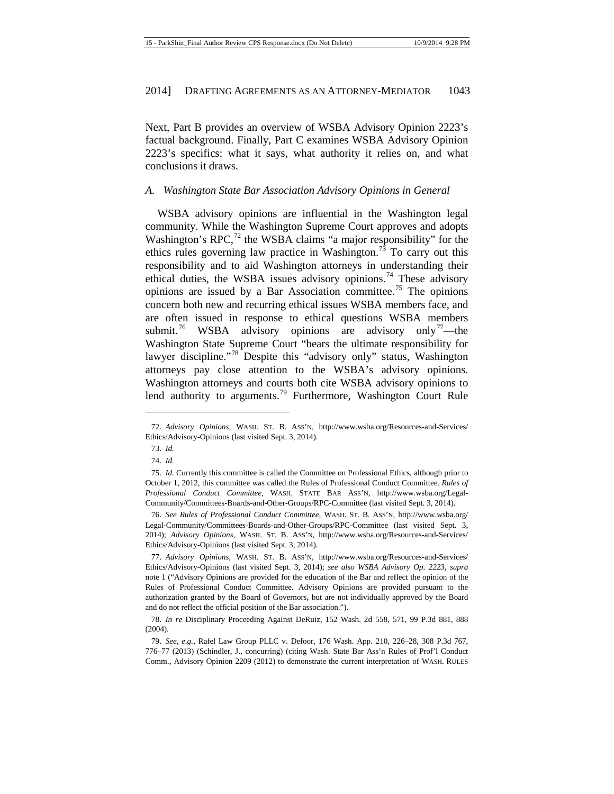Next, Part B provides an overview of WSBA Advisory Opinion 2223's factual background. Finally, Part C examines WSBA Advisory Opinion 2223's specifics: what it says, what authority it relies on, and what conclusions it draws.

#### *A. Washington State Bar Association Advisory Opinions in General*

<span id="page-9-9"></span>WSBA advisory opinions are influential in the Washington legal community. While the Washington Supreme Court approves and adopts Washington's RPC, $^{72}$  $^{72}$  $^{72}$  the WSBA claims "a major responsibility" for the ethics rules governing law practice in Washington.<sup>[73](#page-9-2)</sup> To carry out this responsibility and to aid Washington attorneys in understanding their ethical duties, the WSBA issues advisory opinions.<sup>[74](#page-9-3)</sup> These advisory opinions are issued by a Bar Association committee.<sup>[75](#page-9-4)</sup> The opinions concern both new and recurring ethical issues WSBA members face, and are often issued in response to ethical questions WSBA members submit.<sup>[76](#page-9-5)</sup> WSBA advisory opinions are advisory only<sup>[77](#page-9-6)</sup>—the Washington State Supreme Court "bears the ultimate responsibility for lawyer discipline."<sup>[78](#page-9-7)</sup> Despite this "advisory only" status, Washington attorneys pay close attention to the WSBA's advisory opinions. Washington attorneys and courts both cite WSBA advisory opinions to lend authority to arguments.<sup>[79](#page-9-8)</sup> Furthermore, Washington Court Rule

<span id="page-9-2"></span><span id="page-9-1"></span><span id="page-9-0"></span><sup>72.</sup> *Advisory Opinions*, WASH. ST. B. ASS'N, http://www.wsba.org/Resources-and-Services/ Ethics/Advisory-Opinions (last visited Sept. 3, 2014).

<sup>73.</sup> *Id.*

<sup>74.</sup> *Id.*

<span id="page-9-4"></span><span id="page-9-3"></span><sup>75.</sup> *Id.* Currently this committee is called the Committee on Professional Ethics, although prior to October 1, 2012, this committee was called the Rules of Professional Conduct Committee. *Rules of Professional Conduct Committee*, WASH. STATE BAR ASS'N, http://www.wsba.org/Legal-Community/Committees-Boards-and-Other-Groups/RPC-Committee (last visited Sept. 3, 2014).

<span id="page-9-5"></span><sup>76.</sup> *See Rules of Professional Conduct Committee*, WASH. ST. B. ASS'N, http://www.wsba.org/ Legal-Community/Committees-Boards-and-Other-Groups/RPC-Committee (last visited Sept. 3, 2014); *Advisory Opinions*, WASH. ST. B. ASS'N, http://www.wsba.org/Resources-and-Services/ Ethics/Advisory-Opinions (last visited Sept. 3, 2014).

<span id="page-9-6"></span><sup>77.</sup> *Advisory Opinions*, WASH. ST. B. ASS'N, http://www.wsba.org/Resources-and-Services/ Ethics/Advisory-Opinions (last visited Sept. 3, 2014); *see also WSBA Advisory Op. 2223*, *supra* note [1](#page-1-2) ("Advisory Opinions are provided for the education of the Bar and reflect the opinion of the Rules of Professional Conduct Committee. Advisory Opinions are provided pursuant to the authorization granted by the Board of Governors, but are not individually approved by the Board and do not reflect the official position of the Bar association.").

<span id="page-9-7"></span><sup>78.</sup> *In re* Disciplinary Proceeding Against DeRuiz, 152 Wash. 2d 558, 571, 99 P.3d 881, 888 (2004).

<span id="page-9-8"></span><sup>79.</sup> *See, e.g.*, Rafel Law Group PLLC v. Defoor, 176 Wash. App. 210, 226–28, 308 P.3d 767, 776–77 (2013) (Schindler, J., concurring) (citing Wash. State Bar Ass'n Rules of Prof'l Conduct Comm., Advisory Opinion 2209 (2012) to demonstrate the current interpretation of WASH. RULES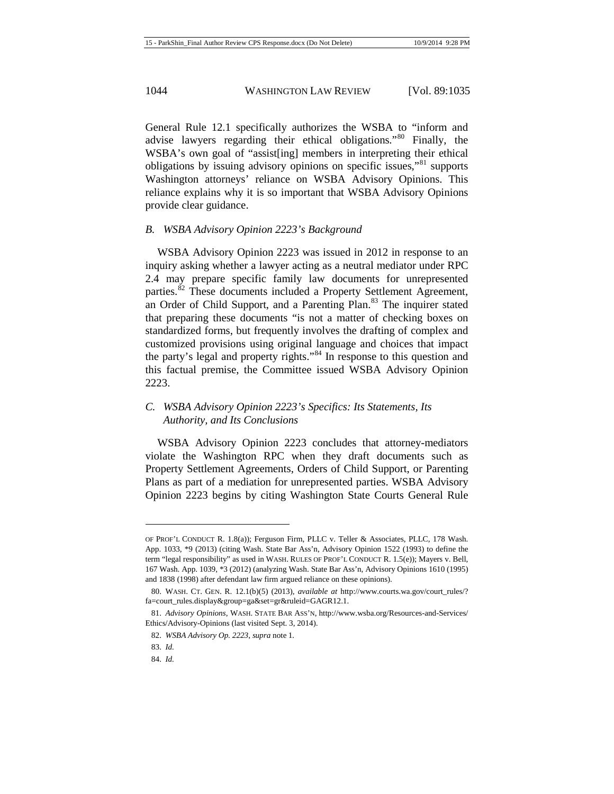General Rule 12.1 specifically authorizes the WSBA to "inform and advise lawyers regarding their ethical obligations.<sup>[80](#page-10-0)</sup> Finally, the WSBA's own goal of "assist[ing] members in interpreting their ethical obligations by issuing advisory opinions on specific issues,"<sup>[81](#page-10-1)</sup> supports Washington attorneys' reliance on WSBA Advisory Opinions. This reliance explains why it is so important that WSBA Advisory Opinions provide clear guidance.

# *B. WSBA Advisory Opinion 2223's Background*

WSBA Advisory Opinion 2223 was issued in 2012 in response to an inquiry asking whether a lawyer acting as a neutral mediator under RPC 2.4 may prepare specific family law documents for unrepresented parties.<sup>[82](#page-10-2)</sup> These documents included a Property Settlement Agreement, an Order of Child Support, and a Parenting Plan.<sup>[83](#page-10-3)</sup> The inquirer stated that preparing these documents "is not a matter of checking boxes on standardized forms, but frequently involves the drafting of complex and customized provisions using original language and choices that impact the party's legal and property rights."<sup>[84](#page-10-4)</sup> In response to this question and this factual premise, the Committee issued WSBA Advisory Opinion 2223.

# *C. WSBA Advisory Opinion 2223's Specifics: Its Statements, Its Authority, and Its Conclusions*

WSBA Advisory Opinion 2223 concludes that attorney-mediators violate the Washington RPC when they draft documents such as Property Settlement Agreements, Orders of Child Support, or Parenting Plans as part of a mediation for unrepresented parties. WSBA Advisory Opinion 2223 begins by citing Washington State Courts General Rule

OF PROF'L CONDUCT R. 1.8(a)); Ferguson Firm, PLLC v. Teller & Associates, PLLC, 178 Wash. App. 1033, \*9 (2013) (citing Wash. State Bar Ass'n, Advisory Opinion 1522 (1993) to define the term "legal responsibility" as used in WASH. RULES OF PROF'L CONDUCT R. 1.5(e)); Mayers v. Bell, 167 Wash. App. 1039, \*3 (2012) (analyzing Wash. State Bar Ass'n, Advisory Opinions 1610 (1995) and 1838 (1998) after defendant law firm argued reliance on these opinions).

<span id="page-10-0"></span><sup>80.</sup> WASH. CT. GEN. R. 12.1(b)(5) (2013), *available at* http://www.courts.wa.gov/court\_rules/? fa=court\_rules.display&group=ga&set=gr&ruleid=GAGR12.1.

<span id="page-10-3"></span><span id="page-10-2"></span><span id="page-10-1"></span><sup>81.</sup> *Advisory Opinions*, WASH. STATE BAR ASS'N, http://www.wsba.org/Resources-and-Services/ Ethics/Advisory-Opinions (last visited Sept. 3, 2014).

<sup>82.</sup> *WSBA Advisory Op. 2223*, *supra* not[e 1](#page-1-2)*.*

<span id="page-10-4"></span><sup>83.</sup> *Id.*

<sup>84.</sup> *Id.*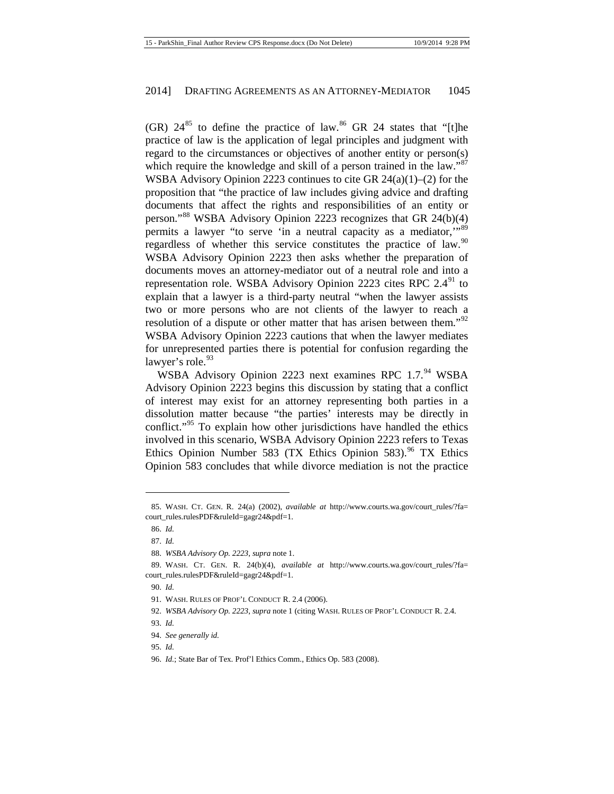(GR)  $24^{85}$  $24^{85}$  $24^{85}$  to define the practice of law.<sup>[86](#page-11-1)</sup> GR 24 states that "[t]he practice of law is the application of legal principles and judgment with regard to the circumstances or objectives of another entity or person(s) which require the knowledge and skill of a person trained in the law."<sup>[87](#page-11-2)</sup> WSBA Advisory Opinion 2223 continues to cite GR 24(a)(1)–(2) for the proposition that "the practice of law includes giving advice and drafting documents that affect the rights and responsibilities of an entity or person."[88](#page-11-3) WSBA Advisory Opinion 2223 recognizes that GR 24(b)(4) permits a lawyer "to serve 'in a neutral capacity as a mediator,"<sup>[89](#page-11-4)</sup> regardless of whether this service constitutes the practice of law.<sup>[90](#page-11-5)</sup> WSBA Advisory Opinion 2223 then asks whether the preparation of documents moves an attorney-mediator out of a neutral role and into a representation role. WSBA Advisory Opinion 2223 cites RPC  $2.4<sup>91</sup>$  $2.4<sup>91</sup>$  $2.4<sup>91</sup>$  to explain that a lawyer is a third-party neutral "when the lawyer assists two or more persons who are not clients of the lawyer to reach a resolution of a dispute or other matter that has arisen between them."<sup>[92](#page-11-7)</sup> WSBA Advisory Opinion 2223 cautions that when the lawyer mediates for unrepresented parties there is potential for confusion regarding the lawyer's role.<sup>[93](#page-11-8)</sup>

WSBA Advisory Opinion 2223 next examines RPC 1.7.[94](#page-11-9) WSBA Advisory Opinion 2223 begins this discussion by stating that a conflict of interest may exist for an attorney representing both parties in a dissolution matter because "the parties' interests may be directly in conflict."<sup>[95](#page-11-10)</sup> To explain how other jurisdictions have handled the ethics involved in this scenario, WSBA Advisory Opinion 2223 refers to Texas Ethics Opinion Number 583 (TX Ethics Opinion 583).<sup>[96](#page-11-11)</sup> TX Ethics Opinion 583 concludes that while divorce mediation is not the practice

 $\overline{a}$ 

<span id="page-11-1"></span><span id="page-11-0"></span><sup>85.</sup> WASH. CT. GEN. R. 24(a) (2002), *available at* http://www.courts.wa.gov/court\_rules/?fa= court\_rules.rulesPDF&ruleId=gagr24&pdf=1.

<sup>86.</sup> *Id.*

<sup>87.</sup> *Id.*

<sup>88.</sup> *WSBA Advisory Op. 2223*, *supra* not[e 1.](#page-1-2)

<span id="page-11-6"></span><span id="page-11-5"></span><span id="page-11-4"></span><span id="page-11-3"></span><span id="page-11-2"></span><sup>89.</sup> WASH. CT. GEN. R. 24(b)(4), *available at* http://www.courts.wa.gov/court\_rules/?fa= court\_rules.rulesPDF&ruleId=gagr24&pdf=1.

<sup>90.</sup> *Id.*

<sup>91.</sup> WASH. RULES OF PROF'L CONDUCT R. 2.4 (2006).

<span id="page-11-8"></span><span id="page-11-7"></span><sup>92.</sup> *WSBA Advisory Op. 2223*, *supra* not[e 1](#page-1-2) (citing WASH. RULES OF PROF'L CONDUCT R. 2.4.

<sup>93.</sup> *Id.*

<sup>94.</sup> *See generally id.* 

<span id="page-11-11"></span><span id="page-11-10"></span><span id="page-11-9"></span><sup>95.</sup> *Id.*

<sup>96.</sup> *Id.*; State Bar of Tex. Prof'l Ethics Comm., Ethics Op. 583 (2008).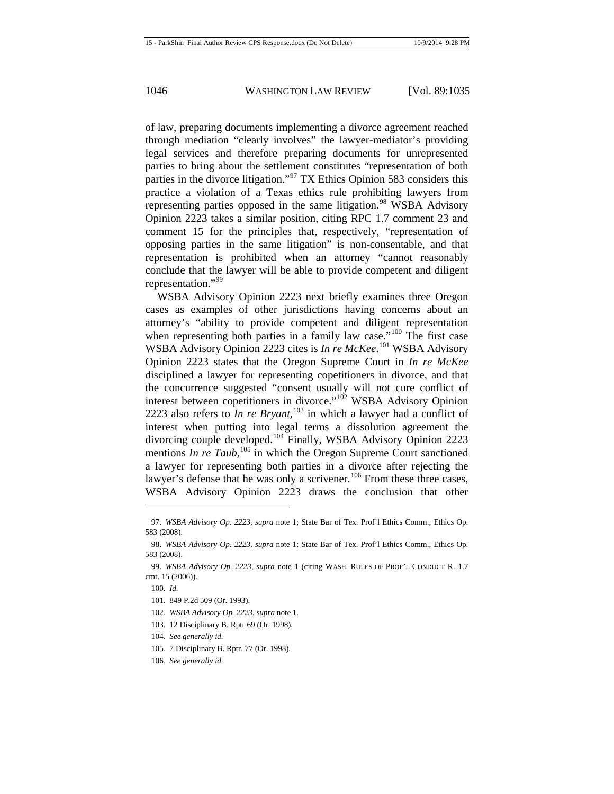of law, preparing documents implementing a divorce agreement reached through mediation "clearly involves" the lawyer-mediator's providing legal services and therefore preparing documents for unrepresented parties to bring about the settlement constitutes "representation of both parties in the divorce litigation."<sup>[97](#page-12-0)</sup> TX Ethics Opinion 583 considers this practice a violation of a Texas ethics rule prohibiting lawyers from representing parties opposed in the same litigation.<sup>[98](#page-12-1)</sup> WSBA Advisory Opinion 2223 takes a similar position, citing RPC 1.7 comment 23 and comment 15 for the principles that, respectively, "representation of opposing parties in the same litigation" is non-consentable, and that representation is prohibited when an attorney "cannot reasonably conclude that the lawyer will be able to provide competent and diligent representation."<sup>[99](#page-12-2)</sup>

WSBA Advisory Opinion 2223 next briefly examines three Oregon cases as examples of other jurisdictions having concerns about an attorney's "ability to provide competent and diligent representation when representing both parties in a family law case." $100$  The first case WSBA Advisory Opinion 2223 cites is *In re McKee*. [101](#page-12-4) WSBA Advisory Opinion 2223 states that the Oregon Supreme Court in *In re McKee*  disciplined a lawyer for representing copetitioners in divorce, and that the concurrence suggested "consent usually will not cure conflict of interest between copetitioners in divorce."<sup>[102](#page-12-5)</sup> WSBA Advisory Opinion 2223 also refers to *In re Bryant*, [103](#page-12-6) in which a lawyer had a conflict of interest when putting into legal terms a dissolution agreement the divorcing couple developed.<sup>[104](#page-12-7)</sup> Finally, WSBA Advisory Opinion 2223 mentions *In re Taub*, <sup>[105](#page-12-8)</sup> in which the Oregon Supreme Court sanctioned a lawyer for representing both parties in a divorce after rejecting the lawyer's defense that he was only a scrivener.<sup>[106](#page-12-9)</sup> From these three cases, WSBA Advisory Opinion 2223 draws the conclusion that other

 $\overline{a}$ 

- <span id="page-12-6"></span>103. 12 Disciplinary B. Rptr 69 (Or. 1998).
- <span id="page-12-7"></span>104. *See generally id.*
- <span id="page-12-8"></span>105. 7 Disciplinary B. Rptr. 77 (Or. 1998).
- <span id="page-12-9"></span>106. *See generally id.*

<span id="page-12-0"></span><sup>97.</sup> *WSBA Advisory Op. 2223*, *supra* note [1;](#page-1-2) State Bar of Tex. Prof'l Ethics Comm., Ethics Op. 583 (2008).

<span id="page-12-1"></span><sup>98.</sup> *WSBA Advisory Op. 2223*, *supra* note [1;](#page-1-2) State Bar of Tex. Prof'l Ethics Comm., Ethics Op. 583 (2008).

<span id="page-12-4"></span><span id="page-12-3"></span><span id="page-12-2"></span><sup>99.</sup> *WSBA Advisory Op. 2223*, *supra* note [1](#page-1-2) (citing WASH. RULES OF PROF'L CONDUCT R. 1.7 cmt. 15 (2006)).

<span id="page-12-5"></span><sup>100.</sup> *Id.*

<sup>101.</sup> 849 P.2d 509 (Or. 1993).

<sup>102.</sup> *WSBA Advisory Op. 2223*, *supra* not[e 1.](#page-1-2)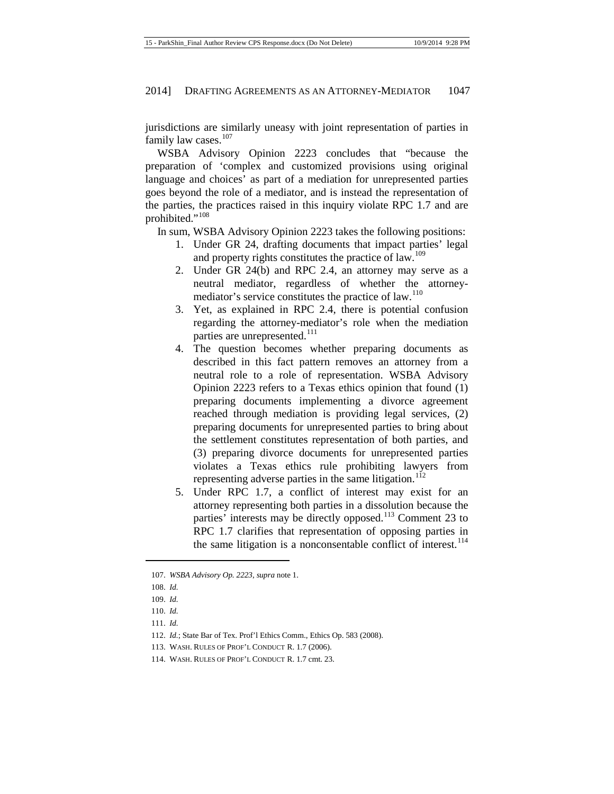jurisdictions are similarly uneasy with joint representation of parties in family law cases. $107$ 

WSBA Advisory Opinion 2223 concludes that "because the preparation of 'complex and customized provisions using original language and choices' as part of a mediation for unrepresented parties goes beyond the role of a mediator, and is instead the representation of the parties, the practices raised in this inquiry violate RPC 1.7 and are prohibited."<sup>[108](#page-13-1)</sup>

In sum, WSBA Advisory Opinion 2223 takes the following positions:

- 1. Under GR 24, drafting documents that impact parties' legal and property rights constitutes the practice of law.<sup>[109](#page-13-2)</sup>
- 2. Under GR 24(b) and RPC 2.4, an attorney may serve as a neutral mediator, regardless of whether the attorney-mediator's service constitutes the practice of law.<sup>[110](#page-13-3)</sup>
- 3. Yet, as explained in RPC 2.4, there is potential confusion regarding the attorney-mediator's role when the mediation parties are unrepresented.<sup>[111](#page-13-4)</sup>
- 4. The question becomes whether preparing documents as described in this fact pattern removes an attorney from a neutral role to a role of representation. WSBA Advisory Opinion 2223 refers to a Texas ethics opinion that found (1) preparing documents implementing a divorce agreement reached through mediation is providing legal services, (2) preparing documents for unrepresented parties to bring about the settlement constitutes representation of both parties, and (3) preparing divorce documents for unrepresented parties violates a Texas ethics rule prohibiting lawyers from representing adverse parties in the same litigation.<sup>[112](#page-13-5)</sup>
- 5. Under RPC 1.7, a conflict of interest may exist for an attorney representing both parties in a dissolution because the parties' interests may be directly opposed.<sup>[113](#page-13-6)</sup> Comment 23 to RPC 1.7 clarifies that representation of opposing parties in the same litigation is a nonconsentable conflict of interest.<sup>[114](#page-13-7)</sup>

<span id="page-13-0"></span><sup>107.</sup> *WSBA Advisory Op. 2223*, *supra* not[e 1.](#page-1-2)

<span id="page-13-2"></span><span id="page-13-1"></span><sup>108.</sup> *Id.*

<sup>109.</sup> *Id.*

<span id="page-13-3"></span><sup>110.</sup> *Id.*

<span id="page-13-4"></span><sup>111.</sup> *Id.*

<span id="page-13-5"></span><sup>112.</sup> *Id.*; State Bar of Tex. Prof'l Ethics Comm., Ethics Op. 583 (2008).

<span id="page-13-6"></span><sup>113.</sup> WASH. RULES OF PROF'L CONDUCT R. 1.7 (2006).

<span id="page-13-7"></span><sup>114.</sup> WASH. RULES OF PROF'L CONDUCT R. 1.7 cmt. 23.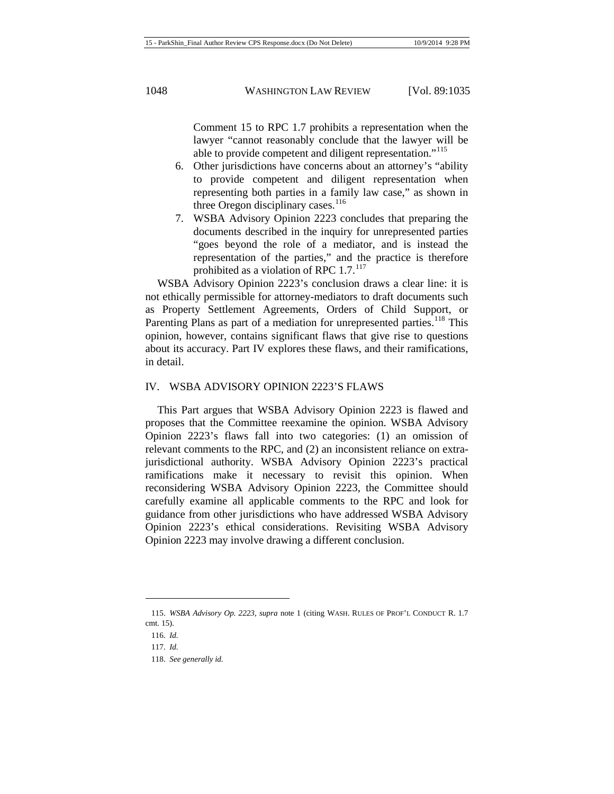Comment 15 to RPC 1.7 prohibits a representation when the lawyer "cannot reasonably conclude that the lawyer will be able to provide competent and diligent representation."<sup>[115](#page-14-0)</sup>

- 6. Other jurisdictions have concerns about an attorney's "ability to provide competent and diligent representation when representing both parties in a family law case," as shown in three Oregon disciplinary cases. $116$
- 7. WSBA Advisory Opinion 2223 concludes that preparing the documents described in the inquiry for unrepresented parties "goes beyond the role of a mediator, and is instead the representation of the parties," and the practice is therefore prohibited as a violation of RPC  $1.7.^{117}$  $1.7.^{117}$  $1.7.^{117}$

WSBA Advisory Opinion 2223's conclusion draws a clear line: it is not ethically permissible for attorney-mediators to draft documents such as Property Settlement Agreements, Orders of Child Support, or Parenting Plans as part of a mediation for unrepresented parties.<sup>[118](#page-14-3)</sup> This opinion, however, contains significant flaws that give rise to questions about its accuracy. Part IV explores these flaws, and their ramifications, in detail.

#### IV. WSBA ADVISORY OPINION 2223'S FLAWS

This Part argues that WSBA Advisory Opinion 2223 is flawed and proposes that the Committee reexamine the opinion. WSBA Advisory Opinion 2223's flaws fall into two categories: (1) an omission of relevant comments to the RPC, and (2) an inconsistent reliance on extrajurisdictional authority. WSBA Advisory Opinion 2223's practical ramifications make it necessary to revisit this opinion. When reconsidering WSBA Advisory Opinion 2223, the Committee should carefully examine all applicable comments to the RPC and look for guidance from other jurisdictions who have addressed WSBA Advisory Opinion 2223's ethical considerations. Revisiting WSBA Advisory Opinion 2223 may involve drawing a different conclusion.

<span id="page-14-2"></span><span id="page-14-1"></span><span id="page-14-0"></span><sup>115.</sup> *WSBA Advisory Op. 2223*, *supra* note [1](#page-1-2) (citing WASH. RULES OF PROF'L CONDUCT R. 1.7 cmt. 15).

<sup>116.</sup> *Id.*

<span id="page-14-3"></span><sup>117.</sup> *Id.*

<sup>118.</sup> *See generally id.*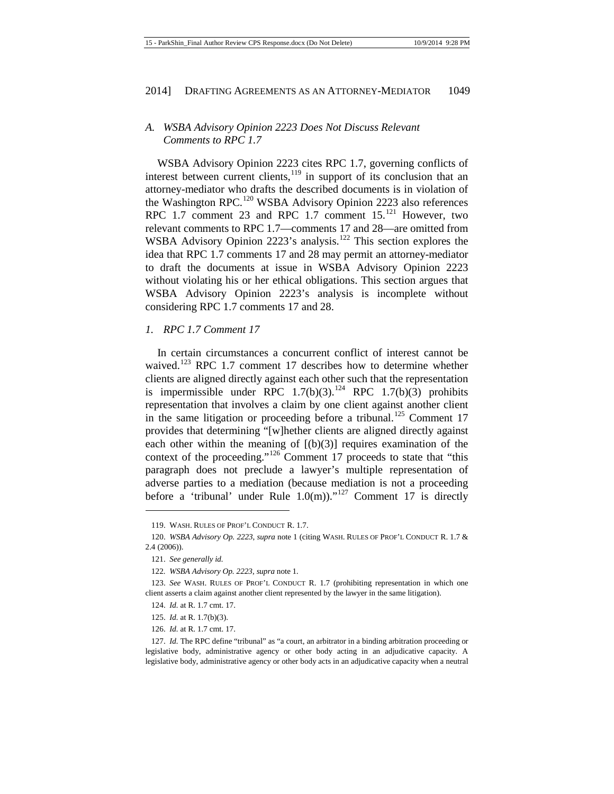# *A. WSBA Advisory Opinion 2223 Does Not Discuss Relevant Comments to RPC 1.7*

WSBA Advisory Opinion 2223 cites RPC 1.7, governing conflicts of interest between current clients,  $119$  in support of its conclusion that an attorney-mediator who drafts the described documents is in violation of the Washington RPC.<sup>[120](#page-15-1)</sup> WSBA Advisory Opinion 2223 also references RPC 1.7 comment 23 and RPC 1.7 comment  $15$ <sup>[121](#page-15-2)</sup> However, two relevant comments to RPC 1.7—comments 17 and 28—are omitted from WSBA Advisory Opinion 2223's analysis.<sup>[122](#page-15-3)</sup> This section explores the idea that RPC 1.7 comments 17 and 28 may permit an attorney-mediator to draft the documents at issue in WSBA Advisory Opinion 2223 without violating his or her ethical obligations. This section argues that WSBA Advisory Opinion 2223's analysis is incomplete without considering RPC 1.7 comments 17 and 28.

### *1. RPC 1.7 Comment 17*

In certain circumstances a concurrent conflict of interest cannot be waived.<sup>[123](#page-15-4)</sup> RPC 1.7 comment 17 describes how to determine whether clients are aligned directly against each other such that the representation is impermissible under RPC  $1.7(b)(3)$ .<sup>[124](#page-15-5)</sup> RPC  $1.7(b)(3)$  prohibits representation that involves a claim by one client against another client in the same litigation or proceeding before a tribunal.<sup>[125](#page-15-6)</sup> Comment 17 provides that determining "[w]hether clients are aligned directly against each other within the meaning of  $[(b)(3)]$  requires examination of the context of the proceeding."<sup>[126](#page-15-7)</sup> Comment 17 proceeds to state that "this paragraph does not preclude a lawyer's multiple representation of adverse parties to a mediation (because mediation is not a proceeding before a 'tribunal' under Rule  $1.0(m)$ ."<sup>[127](#page-15-8)</sup> Comment 17 is directly

 $\overline{a}$ 

<sup>119.</sup> WASH. RULES OF PROF'L CONDUCT R. 1.7.

<span id="page-15-2"></span><span id="page-15-1"></span><span id="page-15-0"></span><sup>120.</sup> *WSBA Advisory Op. 2223*, *supra* not[e 1](#page-1-2) (citing WASH. RULES OF PROF'L CONDUCT R. 1.7 & 2.4 (2006)).

<sup>121.</sup> *See generally id.*

<sup>122</sup>*. WSBA Advisory Op. 2223*, *supra* not[e 1](#page-1-2)*.*

<span id="page-15-5"></span><span id="page-15-4"></span><span id="page-15-3"></span><sup>123.</sup> *See* WASH. RULES OF PROF'L CONDUCT R. 1.7 (prohibiting representation in which one client asserts a claim against another client represented by the lawyer in the same litigation).

<sup>124.</sup> *Id.* at R. 1.7 cmt. 17.

<sup>125.</sup> *Id.* at R. 1.7(b)(3).

<sup>126.</sup> *Id.* at R. 1.7 cmt. 17.

<span id="page-15-8"></span><span id="page-15-7"></span><span id="page-15-6"></span><sup>127.</sup> *Id.* The RPC define "tribunal" as "a court, an arbitrator in a binding arbitration proceeding or legislative body, administrative agency or other body acting in an adjudicative capacity. A legislative body, administrative agency or other body acts in an adjudicative capacity when a neutral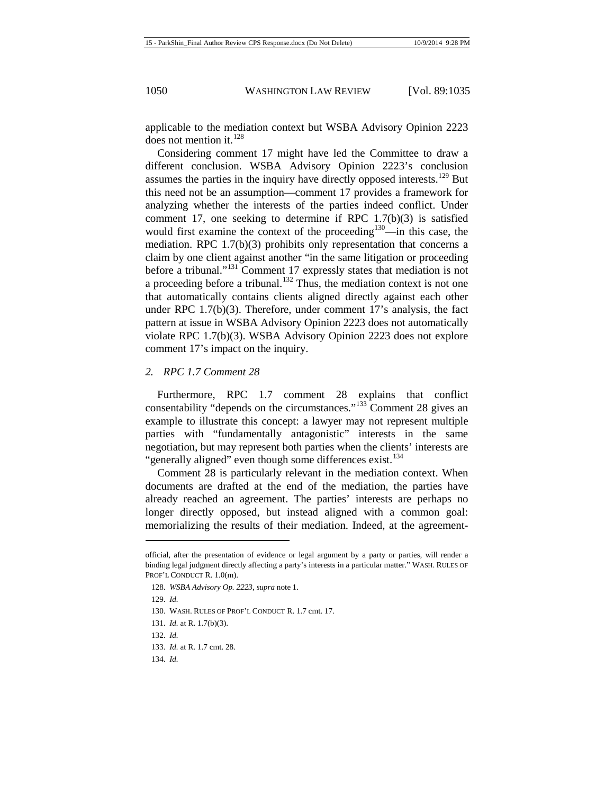applicable to the mediation context but WSBA Advisory Opinion 2223 does not mention it.  $^{128}$  $^{128}$  $^{128}$ 

Considering comment 17 might have led the Committee to draw a different conclusion. WSBA Advisory Opinion 2223's conclusion assumes the parties in the inquiry have directly opposed interests.<sup>[129](#page-16-1)</sup> But this need not be an assumption—comment 17 provides a framework for analyzing whether the interests of the parties indeed conflict. Under comment 17, one seeking to determine if RPC 1.7(b)(3) is satisfied would first examine the context of the proceeding<sup>[130](#page-16-2)</sup>—in this case, the mediation. RPC 1.7(b)(3) prohibits only representation that concerns a claim by one client against another "in the same litigation or proceeding before a tribunal."[131](#page-16-3) Comment 17 expressly states that mediation is not a proceeding before a tribunal.<sup>[132](#page-16-4)</sup> Thus, the mediation context is not one that automatically contains clients aligned directly against each other under RPC 1.7(b)(3). Therefore, under comment 17's analysis, the fact pattern at issue in WSBA Advisory Opinion 2223 does not automatically violate RPC 1.7(b)(3). WSBA Advisory Opinion 2223 does not explore comment 17's impact on the inquiry.

#### *2. RPC 1.7 Comment 28*

Furthermore, RPC 1.7 comment 28 explains that conflict consentability "depends on the circumstances."<sup>[133](#page-16-5)</sup> Comment 28 gives an example to illustrate this concept: a lawyer may not represent multiple parties with "fundamentally antagonistic" interests in the same negotiation, but may represent both parties when the clients' interests are "generally aligned" even though some differences exist.<sup>[134](#page-16-6)</sup>

Comment 28 is particularly relevant in the mediation context. When documents are drafted at the end of the mediation, the parties have already reached an agreement. The parties' interests are perhaps no longer directly opposed, but instead aligned with a common goal: memorializing the results of their mediation. Indeed, at the agreement-

 $\overline{a}$ 

<span id="page-16-0"></span>official, after the presentation of evidence or legal argument by a party or parties, will render a binding legal judgment directly affecting a party's interests in a particular matter." WASH. RULES OF PROF'L CONDUCT R. 1.0(m).

<sup>128.</sup> *WSBA Advisory Op. 2223*, *supra* not[e 1.](#page-1-2)

<span id="page-16-1"></span><sup>129.</sup> *Id.*

<sup>130.</sup> WASH. RULES OF PROF'L CONDUCT R. 1.7 cmt. 17.

<span id="page-16-3"></span><span id="page-16-2"></span><sup>131.</sup> *Id.* at R. 1.7(b)(3).

<span id="page-16-4"></span><sup>132.</sup> *Id.*

<sup>133.</sup> *Id.* at R. 1.7 cmt. 28.

<span id="page-16-6"></span><span id="page-16-5"></span><sup>134.</sup> *Id.*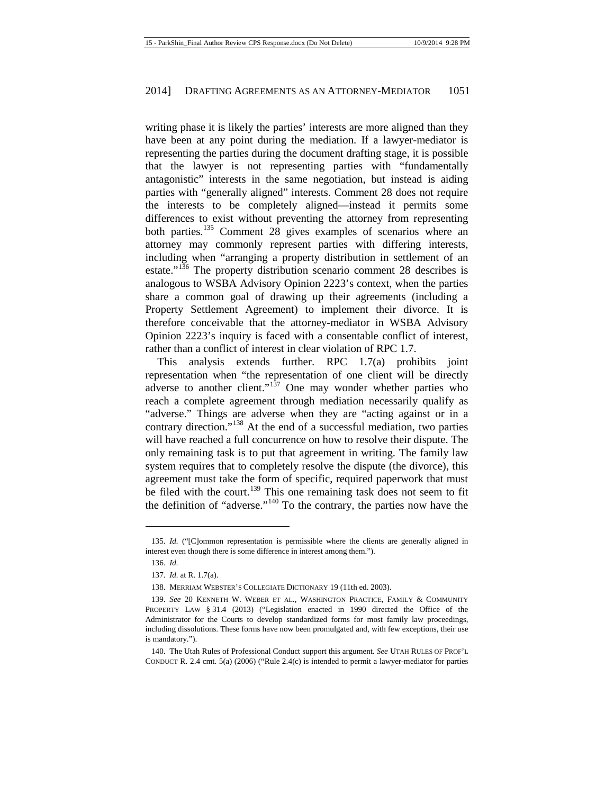writing phase it is likely the parties' interests are more aligned than they have been at any point during the mediation. If a lawyer-mediator is representing the parties during the document drafting stage, it is possible that the lawyer is not representing parties with "fundamentally antagonistic" interests in the same negotiation, but instead is aiding parties with "generally aligned" interests. Comment 28 does not require the interests to be completely aligned—instead it permits some differences to exist without preventing the attorney from representing both parties.<sup>[135](#page-17-0)</sup> Comment 28 gives examples of scenarios where an attorney may commonly represent parties with differing interests, including when "arranging a property distribution in settlement of an estate."<sup>[136](#page-17-1)</sup> The property distribution scenario comment 28 describes is analogous to WSBA Advisory Opinion 2223's context, when the parties share a common goal of drawing up their agreements (including a Property Settlement Agreement) to implement their divorce. It is therefore conceivable that the attorney-mediator in WSBA Advisory Opinion 2223's inquiry is faced with a consentable conflict of interest, rather than a conflict of interest in clear violation of RPC 1.7.

This analysis extends further. RPC 1.7(a) prohibits joint representation when "the representation of one client will be directly adverse to another client."<sup>[137](#page-17-2)</sup> One may wonder whether parties who reach a complete agreement through mediation necessarily qualify as "adverse." Things are adverse when they are "acting against or in a contrary direction."<sup>[138](#page-17-3)</sup> At the end of a successful mediation, two parties will have reached a full concurrence on how to resolve their dispute. The only remaining task is to put that agreement in writing. The family law system requires that to completely resolve the dispute (the divorce), this agreement must take the form of specific, required paperwork that must be filed with the court.<sup>[139](#page-17-4)</sup> This one remaining task does not seem to fit the definition of "adverse."<sup>[140](#page-17-5)</sup> To the contrary, the parties now have the

<span id="page-17-1"></span><span id="page-17-0"></span><sup>135.</sup> *Id.* ("[C]ommon representation is permissible where the clients are generally aligned in interest even though there is some difference in interest among them.").

<sup>136.</sup> *Id.*

<sup>137.</sup> *Id.* at R. 1.7(a).

<sup>138.</sup> MERRIAM WEBSTER'S COLLEGIATE DICTIONARY 19 (11th ed. 2003).

<span id="page-17-4"></span><span id="page-17-3"></span><span id="page-17-2"></span><sup>139.</sup> *See* 20 KENNETH W. WEBER ET AL., WASHINGTON PRACTICE, FAMILY & COMMUNITY PROPERTY LAW § 31.4 (2013) ("Legislation enacted in 1990 directed the Office of the Administrator for the Courts to develop standardized forms for most family law proceedings, including dissolutions. These forms have now been promulgated and, with few exceptions, their use is mandatory.").

<span id="page-17-5"></span><sup>140.</sup> The Utah Rules of Professional Conduct support this argument. *See* UTAH RULES OF PROF'L CONDUCT R. 2.4 cmt. 5(a) (2006) ("Rule 2.4(c) is intended to permit a lawyer-mediator for parties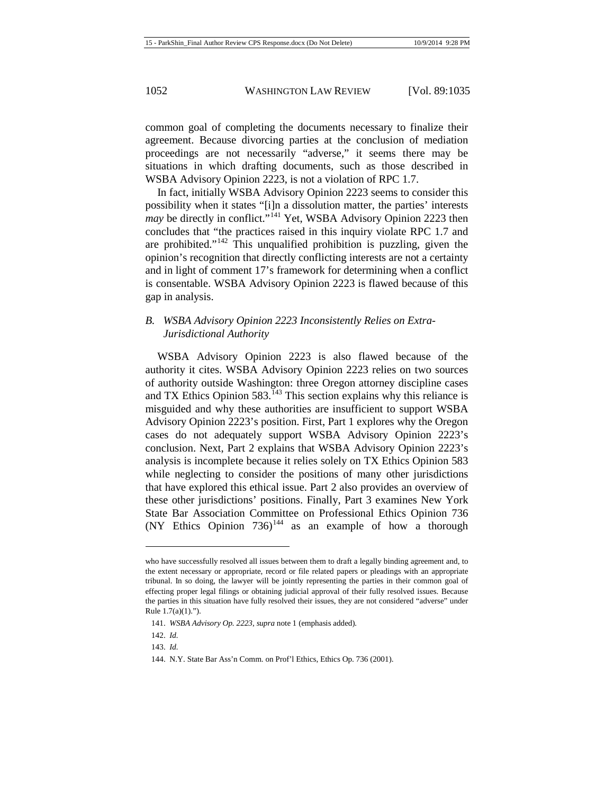common goal of completing the documents necessary to finalize their agreement. Because divorcing parties at the conclusion of mediation proceedings are not necessarily "adverse," it seems there may be situations in which drafting documents, such as those described in WSBA Advisory Opinion 2223, is not a violation of RPC 1.7.

In fact, initially WSBA Advisory Opinion 2223 seems to consider this possibility when it states "[i]n a dissolution matter, the parties' interests *may* be directly in conflict."<sup>[141](#page-18-0)</sup> Yet, WSBA Advisory Opinion 2223 then concludes that "the practices raised in this inquiry violate RPC 1.7 and are prohibited."<sup>[142](#page-18-1)</sup> This unqualified prohibition is puzzling, given the opinion's recognition that directly conflicting interests are not a certainty and in light of comment 17's framework for determining when a conflict is consentable. WSBA Advisory Opinion 2223 is flawed because of this gap in analysis.

# *B. WSBA Advisory Opinion 2223 Inconsistently Relies on Extra-Jurisdictional Authority*

WSBA Advisory Opinion 2223 is also flawed because of the authority it cites. WSBA Advisory Opinion 2223 relies on two sources of authority outside Washington: three Oregon attorney discipline cases and TX Ethics Opinion 583.<sup>[143](#page-18-2)</sup> This section explains why this reliance is misguided and why these authorities are insufficient to support WSBA Advisory Opinion 2223's position. First, Part 1 explores why the Oregon cases do not adequately support WSBA Advisory Opinion 2223's conclusion. Next, Part 2 explains that WSBA Advisory Opinion 2223's analysis is incomplete because it relies solely on TX Ethics Opinion 583 while neglecting to consider the positions of many other jurisdictions that have explored this ethical issue. Part 2 also provides an overview of these other jurisdictions' positions. Finally, Part 3 examines New York State Bar Association Committee on Professional Ethics Opinion 736 (NY Ethics Opinion  $736$ )<sup>[144](#page-18-3)</sup> as an example of how a thorough

 $\overline{a}$ 

who have successfully resolved all issues between them to draft a legally binding agreement and, to the extent necessary or appropriate, record or file related papers or pleadings with an appropriate tribunal. In so doing, the lawyer will be jointly representing the parties in their common goal of effecting proper legal filings or obtaining judicial approval of their fully resolved issues. Because the parties in this situation have fully resolved their issues, they are not considered "adverse" under Rule  $1.7(a)(1)$ .").

<span id="page-18-0"></span><sup>141.</sup> *WSBA Advisory Op. 2223*, *supra* not[e 1](#page-1-2) (emphasis added)*.*

<span id="page-18-1"></span><sup>142.</sup> *Id.*

<span id="page-18-2"></span><sup>143.</sup> *Id.*

<span id="page-18-3"></span><sup>144.</sup> N.Y. State Bar Ass'n Comm. on Prof'l Ethics, Ethics Op. 736 (2001).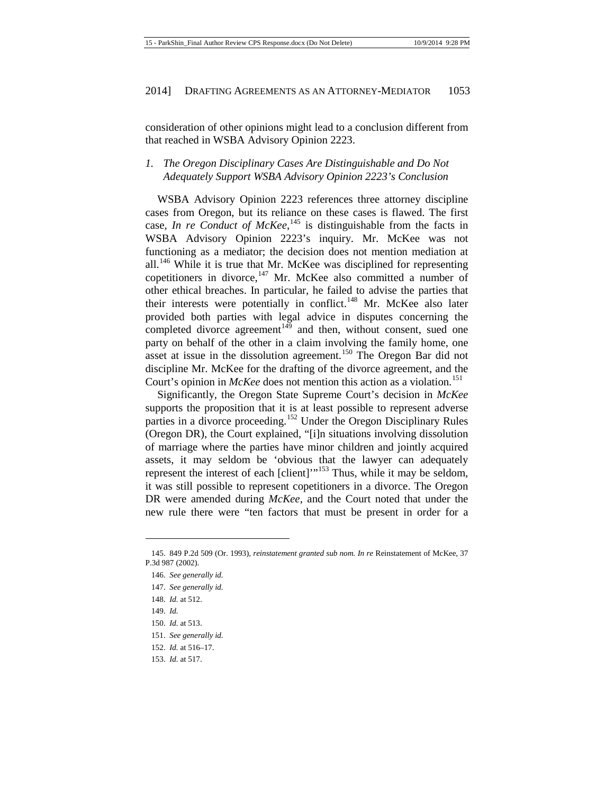consideration of other opinions might lead to a conclusion different from that reached in WSBA Advisory Opinion 2223.

# *1. The Oregon Disciplinary Cases Are Distinguishable and Do Not Adequately Support WSBA Advisory Opinion 2223's Conclusion*

WSBA Advisory Opinion 2223 references three attorney discipline cases from Oregon, but its reliance on these cases is flawed. The first case, *In re Conduct of McKee*,<sup>[145](#page-19-0)</sup> is distinguishable from the facts in WSBA Advisory Opinion 2223's inquiry. Mr. McKee was not functioning as a mediator; the decision does not mention mediation at all.<sup>[146](#page-19-1)</sup> While it is true that Mr. McKee was disciplined for representing copetitioners in divorce, $147$  Mr. McKee also committed a number of other ethical breaches. In particular, he failed to advise the parties that their interests were potentially in conflict.<sup>[148](#page-19-3)</sup> Mr. McKee also later provided both parties with legal advice in disputes concerning the completed divorce agreement $149$  and then, without consent, sued one party on behalf of the other in a claim involving the family home, one asset at issue in the dissolution agreement.<sup>[150](#page-19-5)</sup> The Oregon Bar did not discipline Mr. McKee for the drafting of the divorce agreement, and the Court's opinion in *McKee* does not mention this action as a violation.<sup>[151](#page-19-6)</sup>

Significantly, the Oregon State Supreme Court's decision in *McKee* supports the proposition that it is at least possible to represent adverse parties in a divorce proceeding.<sup>[152](#page-19-7)</sup> Under the Oregon Disciplinary Rules (Oregon DR), the Court explained, "[i]n situations involving dissolution of marriage where the parties have minor children and jointly acquired assets, it may seldom be 'obvious that the lawyer can adequately represent the interest of each [client]"<sup>[153](#page-19-8)</sup> Thus, while it may be seldom, it was still possible to represent copetitioners in a divorce. The Oregon DR were amended during *McKee*, and the Court noted that under the new rule there were "ten factors that must be present in order for a

- 147. *See generally id.*
- <span id="page-19-3"></span>148. *Id.* at 512.
- <span id="page-19-4"></span>149. *Id.*

**.** 

<span id="page-19-5"></span>150. *Id.* at 513.

152. *Id.* at 516–17.

<span id="page-19-2"></span><span id="page-19-1"></span><span id="page-19-0"></span><sup>145.</sup> 849 P.2d 509 (Or. 1993), *reinstatement granted sub nom. In re* Reinstatement of McKee, 37 P.3d 987 (2002).

<sup>146.</sup> *See generally id.*

<span id="page-19-6"></span><sup>151.</sup> *See generally id.*

<span id="page-19-8"></span><span id="page-19-7"></span><sup>153.</sup> *Id.* at 517.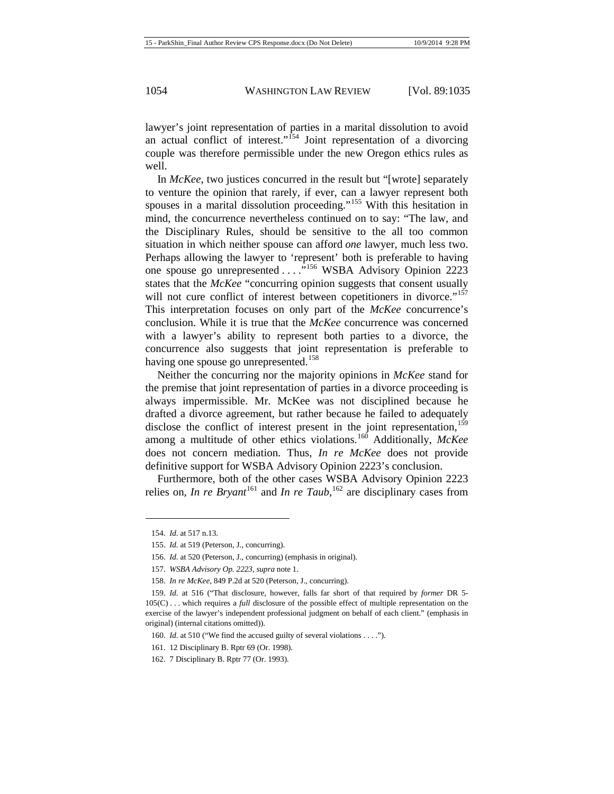lawyer's joint representation of parties in a marital dissolution to avoid an actual conflict of interest."<sup>[154](#page-20-0)</sup> Joint representation of a divorcing couple was therefore permissible under the new Oregon ethics rules as well.

In *McKee*, two justices concurred in the result but "[wrote] separately to venture the opinion that rarely, if ever, can a lawyer represent both spouses in a marital dissolution proceeding."<sup>[155](#page-20-1)</sup> With this hesitation in mind, the concurrence nevertheless continued on to say: "The law, and the Disciplinary Rules, should be sensitive to the all too common situation in which neither spouse can afford *one* lawyer, much less two. Perhaps allowing the lawyer to 'represent' both is preferable to having one spouse go unrepresented . . . . .<sup>5[156](#page-20-2)</sup> WSBA Advisory Opinion 2223 states that the *McKee* "concurring opinion suggests that consent usually will not cure conflict of interest between copetitioners in divorce."<sup>[157](#page-20-3)</sup> This interpretation focuses on only part of the *McKee* concurrence's conclusion. While it is true that the *McKee* concurrence was concerned with a lawyer's ability to represent both parties to a divorce, the concurrence also suggests that joint representation is preferable to having one spouse go unrepresented.<sup>[158](#page-20-4)</sup>

Neither the concurring nor the majority opinions in *McKee* stand for the premise that joint representation of parties in a divorce proceeding is always impermissible. Mr. McKee was not disciplined because he drafted a divorce agreement, but rather because he failed to adequately disclose the conflict of interest present in the joint representation,  $159$ among a multitude of other ethics violations.[160](#page-20-6) Additionally, *McKee*  does not concern mediation. Thus, *In re McKee* does not provide definitive support for WSBA Advisory Opinion 2223's conclusion.

Furthermore, both of the other cases WSBA Advisory Opinion 2223 relies on, *In re Bryant*<sup>[161](#page-20-7)</sup> and *In re Taub*, <sup>[162](#page-20-8)</sup> are disciplinary cases from

<span id="page-20-0"></span><sup>154.</sup> *Id.* at 517 n.13.

<span id="page-20-1"></span><sup>155.</sup> *Id.* at 519 (Peterson, J., concurring).

<sup>156.</sup> *Id.* at 520 (Peterson, J., concurring) (emphasis in original).

<sup>157.</sup> *WSBA Advisory Op. 2223*, *supra* not[e 1.](#page-1-2)

<sup>158.</sup> *In re McKee*, 849 P.2d at 520 (Peterson, J., concurring).

<span id="page-20-6"></span><span id="page-20-5"></span><span id="page-20-4"></span><span id="page-20-3"></span><span id="page-20-2"></span><sup>159.</sup> *Id.* at 516 ("That disclosure, however, falls far short of that required by *former* DR 5- 105(C) . . . which requires a *full* disclosure of the possible effect of multiple representation on the exercise of the lawyer's independent professional judgment on behalf of each client." (emphasis in original) (internal citations omitted)).

<sup>160.</sup> *Id.* at 510 ("We find the accused guilty of several violations . . . .").

<span id="page-20-7"></span><sup>161.</sup> 12 Disciplinary B. Rptr 69 (Or. 1998).

<span id="page-20-8"></span><sup>162.</sup> 7 Disciplinary B. Rptr 77 (Or. 1993).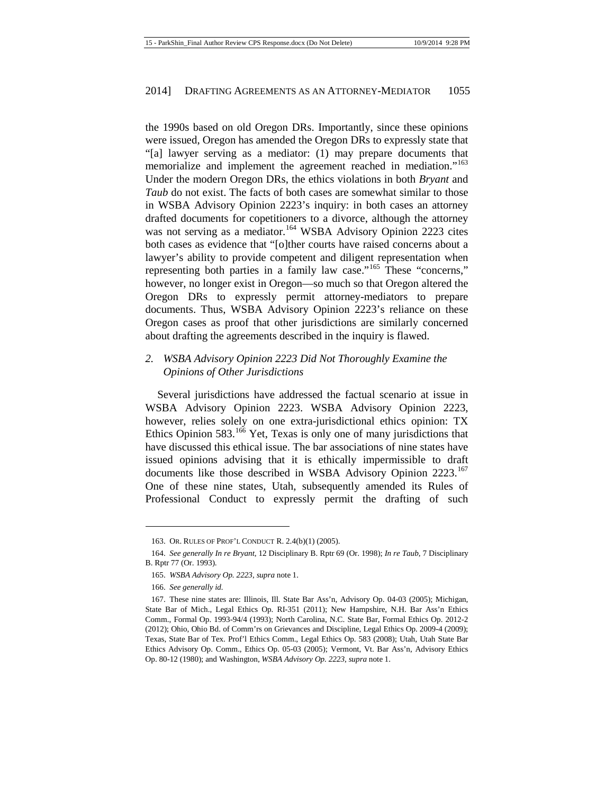the 1990s based on old Oregon DRs. Importantly, since these opinions were issued, Oregon has amended the Oregon DRs to expressly state that "[a] lawyer serving as a mediator: (1) may prepare documents that memorialize and implement the agreement reached in mediation."<sup>[163](#page-21-0)</sup> Under the modern Oregon DRs, the ethics violations in both *Bryant* and *Taub* do not exist. The facts of both cases are somewhat similar to those in WSBA Advisory Opinion 2223's inquiry: in both cases an attorney drafted documents for copetitioners to a divorce, although the attorney was not serving as a mediator.<sup>[164](#page-21-1)</sup> WSBA Advisory Opinion 2223 cites both cases as evidence that "[o]ther courts have raised concerns about a lawyer's ability to provide competent and diligent representation when representing both parties in a family law case."<sup>[165](#page-21-2)</sup> These "concerns," however, no longer exist in Oregon—so much so that Oregon altered the Oregon DRs to expressly permit attorney-mediators to prepare documents. Thus, WSBA Advisory Opinion 2223's reliance on these Oregon cases as proof that other jurisdictions are similarly concerned about drafting the agreements described in the inquiry is flawed.

# *2. WSBA Advisory Opinion 2223 Did Not Thoroughly Examine the Opinions of Other Jurisdictions*

Several jurisdictions have addressed the factual scenario at issue in WSBA Advisory Opinion 2223. WSBA Advisory Opinion 2223, however, relies solely on one extra-jurisdictional ethics opinion: TX Ethics Opinion 583.<sup>[166](#page-21-3)</sup> Yet, Texas is only one of many jurisdictions that have discussed this ethical issue. The bar associations of nine states have issued opinions advising that it is ethically impermissible to draft documents like those described in WSBA Advisory Opinion 2223.<sup>[167](#page-21-4)</sup> One of these nine states, Utah, subsequently amended its Rules of Professional Conduct to expressly permit the drafting of such

<sup>163.</sup> OR. RULES OF PROF'L CONDUCT R. 2.4(b)(1) (2005).

<span id="page-21-2"></span><span id="page-21-1"></span><span id="page-21-0"></span><sup>164.</sup> *See generally In re Bryant*, 12 Disciplinary B. Rptr 69 (Or. 1998); *In re Taub*, 7 Disciplinary B. Rptr 77 (Or. 1993).

<sup>165.</sup> *WSBA Advisory Op. 2223*, *supra* not[e 1.](#page-1-2)

<sup>166.</sup> *See generally id.*

<span id="page-21-4"></span><span id="page-21-3"></span><sup>167.</sup> These nine states are: Illinois, Ill. State Bar Ass'n, Advisory Op. 04-03 (2005); Michigan, State Bar of Mich., Legal Ethics Op. RI-351 (2011); New Hampshire, N.H. Bar Ass'n Ethics Comm., Formal Op. 1993-94/4 (1993); North Carolina, N.C. State Bar, Formal Ethics Op. 2012-2 (2012); Ohio, Ohio Bd. of Comm'rs on Grievances and Discipline, Legal Ethics Op. 2009-4 (2009); Texas, State Bar of Tex. Prof'l Ethics Comm., Legal Ethics Op. 583 (2008); Utah, Utah State Bar Ethics Advisory Op. Comm., Ethics Op. 05-03 (2005); Vermont, Vt. Bar Ass'n, Advisory Ethics Op. 80-12 (1980); and Washington, *WSBA Advisory Op. 2223*, *supra* note [1.](#page-1-2)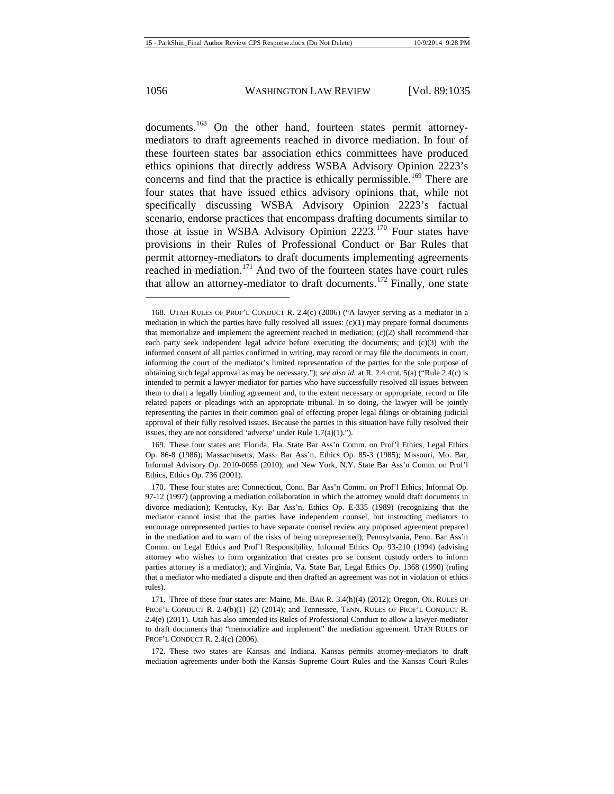documents.<sup>[168](#page-22-0)</sup> On the other hand, fourteen states permit attorneymediators to draft agreements reached in divorce mediation. In four of these fourteen states bar association ethics committees have produced ethics opinions that directly address WSBA Advisory Opinion 2223's concerns and find that the practice is ethically permissible.<sup>[169](#page-22-1)</sup> There are four states that have issued ethics advisory opinions that, while not specifically discussing WSBA Advisory Opinion 2223's factual scenario, endorse practices that encompass drafting documents similar to those at issue in WSBA Advisory Opinion 2223.[170](#page-22-2) Four states have provisions in their Rules of Professional Conduct or Bar Rules that permit attorney-mediators to draft documents implementing agreements reached in mediation.<sup>[171](#page-22-3)</sup> And two of the fourteen states have court rules that allow an attorney-mediator to draft documents.<sup>[172](#page-22-4)</sup> Finally, one state

<span id="page-22-0"></span><sup>168.</sup> UTAH RULES OF PROF'L CONDUCT R. 2.4(c) (2006) ("A lawyer serving as a mediator in a mediation in which the parties have fully resolved all issues:  $(c)(1)$  may prepare formal documents that memorialize and implement the agreement reached in mediation;  $(c)(2)$  shall recommend that each party seek independent legal advice before executing the documents; and  $(c)(3)$  with the informed consent of all parties confirmed in writing, may record or may file the documents in court, informing the court of the mediator's limited representation of the parties for the sole purpose of obtaining such legal approval as may be necessary."); *see also id.* at R. 2.4 cmt. 5(a) ("Rule 2.4(c) is intended to permit a lawyer-mediator for parties who have successfully resolved all issues between them to draft a legally binding agreement and, to the extent necessary or appropriate, record or file related papers or pleadings with an appropriate tribunal. In so doing, the lawyer will be jointly representing the parties in their common goal of effecting proper legal filings or obtaining judicial approval of their fully resolved issues. Because the parties in this situation have fully resolved their issues, they are not considered 'adverse' under Rule 1.7(a)(1).").

<span id="page-22-1"></span><sup>169.</sup> These four states are: Florida, Fla. State Bar Ass'n Comm. on Prof'l Ethics, Legal Ethics Op. 86-8 (1986); Massachusetts, Mass. Bar Ass'n, Ethics Op. 85-3 (1985); Missouri, Mo. Bar, Informal Advisory Op. 2010-0055 (2010); and New York, N.Y. State Bar Ass'n Comm. on Prof'l Ethics, Ethics Op. 736 (2001).

<span id="page-22-2"></span><sup>170.</sup> These four states are: Connecticut, Conn. Bar Ass'n Comm. on Prof'l Ethics, Informal Op. 97-12 (1997) (approving a mediation collaboration in which the attorney would draft documents in divorce mediation); Kentucky, Ky. Bar Ass'n, Ethics Op. E-335 (1989) (recognizing that the mediator cannot insist that the parties have independent counsel, but instructing mediators to encourage unrepresented parties to have separate counsel review any proposed agreement prepared in the mediation and to warn of the risks of being unrepresented); Pennsylvania, Penn. Bar Ass'n Comm. on Legal Ethics and Prof'l Responsibility, Informal Ethics Op. 93-210 (1994) (advising attorney who wishes to form organization that creates pro se consent custody orders to inform parties attorney is a mediator); and Virginia, Va. State Bar, Legal Ethics Op. 1368 (1990) (ruling that a mediator who mediated a dispute and then drafted an agreement was not in violation of ethics rules).

<span id="page-22-3"></span><sup>171.</sup> Three of these four states are: Maine, ME. BAR R. 3.4(h)(4) (2012); Oregon, OR. RULES OF PROF'L CONDUCT R. 2.4(b)(1)–(2) (2014); and Tennessee, TENN. RULES OF PROF'L CONDUCT R. 2.4(e) (2011). Utah has also amended its Rules of Professional Conduct to allow a lawyer-mediator to draft documents that "memorialize and implement" the mediation agreement. UTAH RULES OF PROF'L CONDUCT R. 2.4(c) (2006).

<span id="page-22-4"></span><sup>172.</sup> These two states are Kansas and Indiana. Kansas permits attorney-mediators to draft mediation agreements under both the Kansas Supreme Court Rules and the Kansas Court Rules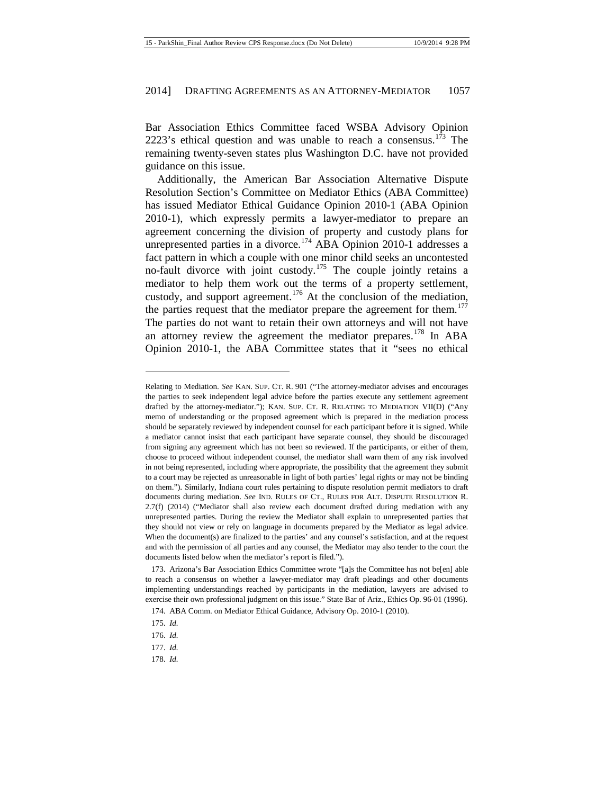Bar Association Ethics Committee faced WSBA Advisory Opinion 2223's ethical question and was unable to reach a consensus.<sup>[173](#page-23-0)</sup> The remaining twenty-seven states plus Washington D.C. have not provided guidance on this issue.

Additionally, the American Bar Association Alternative Dispute Resolution Section's Committee on Mediator Ethics (ABA Committee) has issued Mediator Ethical Guidance Opinion 2010-1 (ABA Opinion 2010-1), which expressly permits a lawyer-mediator to prepare an agreement concerning the division of property and custody plans for unrepresented parties in a divorce.<sup>[174](#page-23-1)</sup> ABA Opinion 2010-1 addresses a fact pattern in which a couple with one minor child seeks an uncontested no-fault divorce with joint custody.<sup>[175](#page-23-2)</sup> The couple jointly retains a mediator to help them work out the terms of a property settlement, custody, and support agreement.<sup>[176](#page-23-3)</sup> At the conclusion of the mediation, the parties request that the mediator prepare the agreement for them.<sup>[177](#page-23-4)</sup> The parties do not want to retain their own attorneys and will not have an attorney review the agreement the mediator prepares.<sup>[178](#page-23-5)</sup> In ABA Opinion 2010-1, the ABA Committee states that it "sees no ethical

 $\overline{\phantom{a}}$ 

<span id="page-23-5"></span>178. *Id.*

Relating to Mediation. *See* KAN. SUP. CT. R. 901 ("The attorney-mediator advises and encourages the parties to seek independent legal advice before the parties execute any settlement agreement drafted by the attorney-mediator."); KAN. SUP. CT. R. RELATING TO MEDIATION VII(D) ("Any memo of understanding or the proposed agreement which is prepared in the mediation process should be separately reviewed by independent counsel for each participant before it is signed. While a mediator cannot insist that each participant have separate counsel, they should be discouraged from signing any agreement which has not been so reviewed. If the participants, or either of them, choose to proceed without independent counsel, the mediator shall warn them of any risk involved in not being represented, including where appropriate, the possibility that the agreement they submit to a court may be rejected as unreasonable in light of both parties' legal rights or may not be binding on them."). Similarly, Indiana court rules pertaining to dispute resolution permit mediators to draft documents during mediation. *See* IND. RULES OF CT., RULES FOR ALT. DISPUTE RESOLUTION R. 2.7(f) (2014) ("Mediator shall also review each document drafted during mediation with any unrepresented parties. During the review the Mediator shall explain to unrepresented parties that they should not view or rely on language in documents prepared by the Mediator as legal advice. When the document(s) are finalized to the parties' and any counsel's satisfaction, and at the request and with the permission of all parties and any counsel, the Mediator may also tender to the court the documents listed below when the mediator's report is filed.").

<span id="page-23-1"></span><span id="page-23-0"></span><sup>173.</sup> Arizona's Bar Association Ethics Committee wrote "[a]s the Committee has not be[en] able to reach a consensus on whether a lawyer-mediator may draft pleadings and other documents implementing understandings reached by participants in the mediation, lawyers are advised to exercise their own professional judgment on this issue." State Bar of Ariz., Ethics Op. 96-01 (1996).

<sup>174.</sup> ABA Comm. on Mediator Ethical Guidance, Advisory Op. 2010-1 (2010).

<span id="page-23-2"></span><sup>175.</sup> *Id.*

<span id="page-23-3"></span><sup>176.</sup> *Id.*

<span id="page-23-4"></span><sup>177.</sup> *Id.*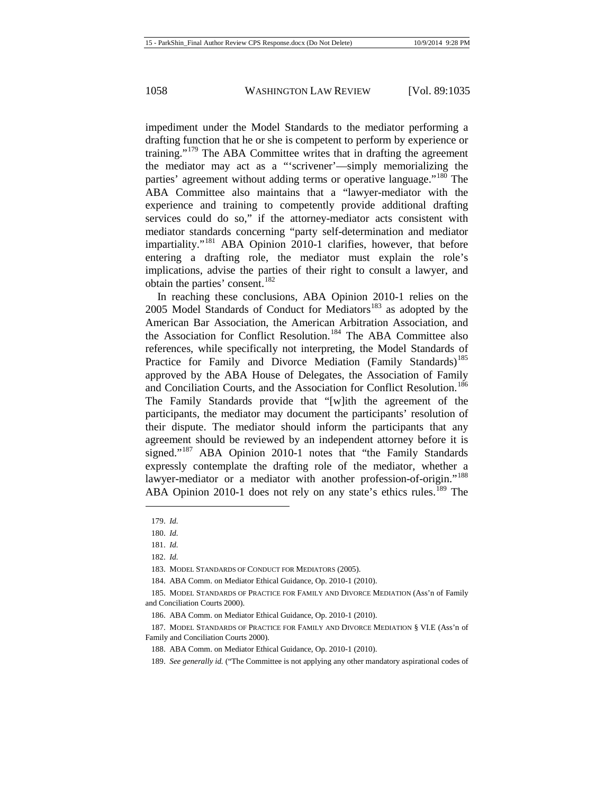impediment under the Model Standards to the mediator performing a drafting function that he or she is competent to perform by experience or training."<sup>[179](#page-24-0)</sup> The ABA Committee writes that in drafting the agreement the mediator may act as a "'scrivener'—simply memorializing the parties' agreement without adding terms or operative language."<sup>[180](#page-24-1)</sup> The ABA Committee also maintains that a "lawyer-mediator with the experience and training to competently provide additional drafting services could do so," if the attorney-mediator acts consistent with mediator standards concerning "party self-determination and mediator impartiality."<sup>[181](#page-24-2)</sup> ABA Opinion 2010-1 clarifies, however, that before entering a drafting role, the mediator must explain the role's implications, advise the parties of their right to consult a lawyer, and obtain the parties' consent.<sup>[182](#page-24-3)</sup>

In reaching these conclusions, ABA Opinion 2010-1 relies on the 2005 Model Standards of Conduct for Mediators<sup>[183](#page-24-4)</sup> as adopted by the American Bar Association, the American Arbitration Association, and the Association for Conflict Resolution.<sup>[184](#page-24-5)</sup> The ABA Committee also references, while specifically not interpreting, the Model Standards of Practice for Family and Divorce Mediation (Family Standards)<sup>[185](#page-24-6)</sup> approved by the ABA House of Delegates, the Association of Family and Conciliation Courts, and the Association for Conflict Resolution.<sup>[186](#page-24-7)</sup> The Family Standards provide that "[w]ith the agreement of the participants, the mediator may document the participants' resolution of their dispute. The mediator should inform the participants that any agreement should be reviewed by an independent attorney before it is signed."<sup>[187](#page-24-8)</sup> ABA Opinion 2010-1 notes that "the Family Standards" expressly contemplate the drafting role of the mediator, whether a lawyer-mediator or a mediator with another profession-of-origin."<sup>[188](#page-24-9)</sup> ABA Opinion 2010-1 does not rely on any state's ethics rules.<sup>[189](#page-24-10)</sup> The

<span id="page-24-0"></span><sup>179.</sup> *Id.*

<span id="page-24-1"></span><sup>180.</sup> *Id.*

<span id="page-24-2"></span><sup>181.</sup> *Id.*

<sup>182.</sup> *Id.*

<sup>183.</sup> MODEL STANDARDS OF CONDUCT FOR MEDIATORS (2005).

<sup>184.</sup> ABA Comm. on Mediator Ethical Guidance, Op. 2010-1 (2010).

<span id="page-24-6"></span><span id="page-24-5"></span><span id="page-24-4"></span><span id="page-24-3"></span><sup>185.</sup> MODEL STANDARDS OF PRACTICE FOR FAMILY AND DIVORCE MEDIATION (Ass'n of Family and Conciliation Courts 2000).

<sup>186.</sup> ABA Comm. on Mediator Ethical Guidance, Op. 2010-1 (2010).

<span id="page-24-10"></span><span id="page-24-9"></span><span id="page-24-8"></span><span id="page-24-7"></span><sup>187.</sup> MODEL STANDARDS OF PRACTICE FOR FAMILY AND DIVORCE MEDIATION § VI.E (Ass'n of Family and Conciliation Courts 2000).

<sup>188.</sup> ABA Comm. on Mediator Ethical Guidance, Op. 2010-1 (2010).

<sup>189.</sup> *See generally id.* ("The Committee is not applying any other mandatory aspirational codes of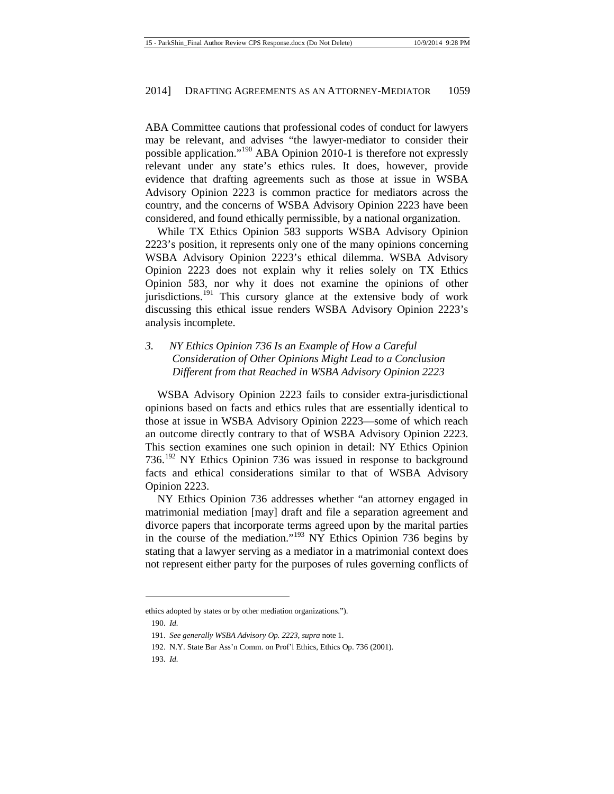ABA Committee cautions that professional codes of conduct for lawyers may be relevant, and advises "the lawyer-mediator to consider their possible application."[190](#page-25-0) ABA Opinion 2010-1 is therefore not expressly relevant under any state's ethics rules. It does, however, provide evidence that drafting agreements such as those at issue in WSBA Advisory Opinion 2223 is common practice for mediators across the country, and the concerns of WSBA Advisory Opinion 2223 have been considered, and found ethically permissible, by a national organization.

While TX Ethics Opinion 583 supports WSBA Advisory Opinion 2223's position, it represents only one of the many opinions concerning WSBA Advisory Opinion 2223's ethical dilemma. WSBA Advisory Opinion 2223 does not explain why it relies solely on TX Ethics Opinion 583, nor why it does not examine the opinions of other jurisdictions.<sup>[191](#page-25-1)</sup> This cursory glance at the extensive body of work discussing this ethical issue renders WSBA Advisory Opinion 2223's analysis incomplete.

*3. NY Ethics Opinion 736 Is an Example of How a Careful Consideration of Other Opinions Might Lead to a Conclusion Different from that Reached in WSBA Advisory Opinion 2223*

WSBA Advisory Opinion 2223 fails to consider extra-jurisdictional opinions based on facts and ethics rules that are essentially identical to those at issue in WSBA Advisory Opinion 2223—some of which reach an outcome directly contrary to that of WSBA Advisory Opinion 2223. This section examines one such opinion in detail: NY Ethics Opinion 736.<sup>[192](#page-25-2)</sup> NY Ethics Opinion 736 was issued in response to background facts and ethical considerations similar to that of WSBA Advisory Opinion 2223.

NY Ethics Opinion 736 addresses whether "an attorney engaged in matrimonial mediation [may] draft and file a separation agreement and divorce papers that incorporate terms agreed upon by the marital parties in the course of the mediation."[193](#page-25-3) NY Ethics Opinion 736 begins by stating that a lawyer serving as a mediator in a matrimonial context does not represent either party for the purposes of rules governing conflicts of

<span id="page-25-2"></span><span id="page-25-1"></span><span id="page-25-0"></span>ethics adopted by states or by other mediation organizations.").

<sup>190.</sup> *Id.*

<sup>191.</sup> *See generally WSBA Advisory Op. 2223*, *supra* not[e 1](#page-1-2)*.*

<sup>192.</sup> N.Y. State Bar Ass'n Comm. on Prof'l Ethics, Ethics Op. 736 (2001).

<span id="page-25-3"></span><sup>193.</sup> *Id.*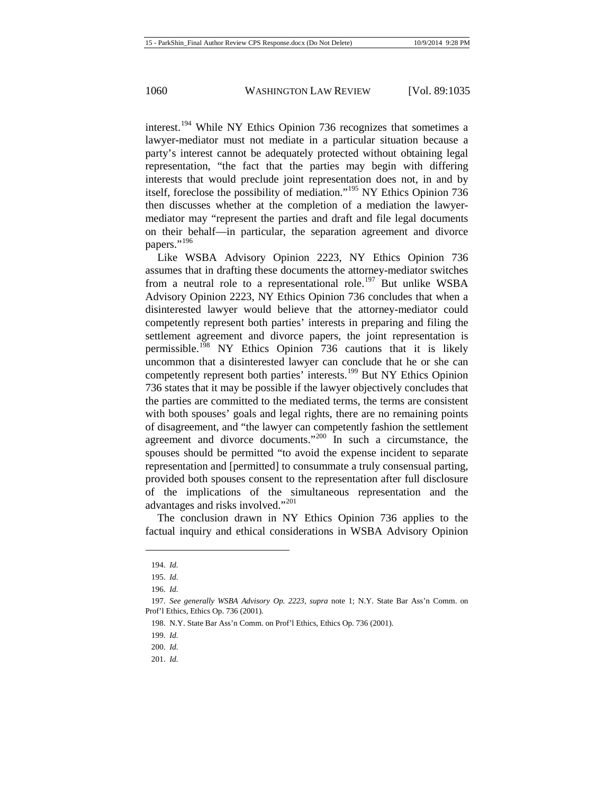interest.<sup>[194](#page-26-0)</sup> While NY Ethics Opinion 736 recognizes that sometimes a lawyer-mediator must not mediate in a particular situation because a party's interest cannot be adequately protected without obtaining legal representation, "the fact that the parties may begin with differing interests that would preclude joint representation does not, in and by itself, foreclose the possibility of mediation."[195](#page-26-1) NY Ethics Opinion 736 then discusses whether at the completion of a mediation the lawyermediator may "represent the parties and draft and file legal documents on their behalf—in particular, the separation agreement and divorce papers."<sup>[196](#page-26-2)</sup>

Like WSBA Advisory Opinion 2223, NY Ethics Opinion 736 assumes that in drafting these documents the attorney-mediator switches from a neutral role to a representational role.<sup>[197](#page-26-3)</sup> But unlike WSBA Advisory Opinion 2223, NY Ethics Opinion 736 concludes that when a disinterested lawyer would believe that the attorney-mediator could competently represent both parties' interests in preparing and filing the settlement agreement and divorce papers, the joint representation is permissible.<sup>[198](#page-26-4)</sup> NY Ethics Opinion 736 cautions that it is likely uncommon that a disinterested lawyer can conclude that he or she can competently represent both parties' interests.<sup>[199](#page-26-5)</sup> But NY Ethics Opinion 736 states that it may be possible if the lawyer objectively concludes that the parties are committed to the mediated terms, the terms are consistent with both spouses' goals and legal rights, there are no remaining points of disagreement, and "the lawyer can competently fashion the settlement agreement and divorce documents."[200](#page-26-6) In such a circumstance, the spouses should be permitted "to avoid the expense incident to separate representation and [permitted] to consummate a truly consensual parting, provided both spouses consent to the representation after full disclosure of the implications of the simultaneous representation and the advantages and risks involved."[201](#page-26-7)

The conclusion drawn in NY Ethics Opinion 736 applies to the factual inquiry and ethical considerations in WSBA Advisory Opinion

<sup>194.</sup> *Id.*

<sup>195.</sup> *Id.*

<sup>196.</sup> *Id.*

<span id="page-26-5"></span><span id="page-26-4"></span><span id="page-26-3"></span><span id="page-26-2"></span><span id="page-26-1"></span><span id="page-26-0"></span><sup>197.</sup> *See generally WSBA Advisory Op. 2223*, *supra* note [1;](#page-1-2) N.Y. State Bar Ass'n Comm. on Prof'l Ethics, Ethics Op. 736 (2001).

<sup>198.</sup> N.Y. State Bar Ass'n Comm. on Prof'l Ethics, Ethics Op. 736 (2001).

<sup>199.</sup> *Id.*

<sup>200.</sup> *Id.*

<span id="page-26-7"></span><span id="page-26-6"></span><sup>201.</sup> *Id.*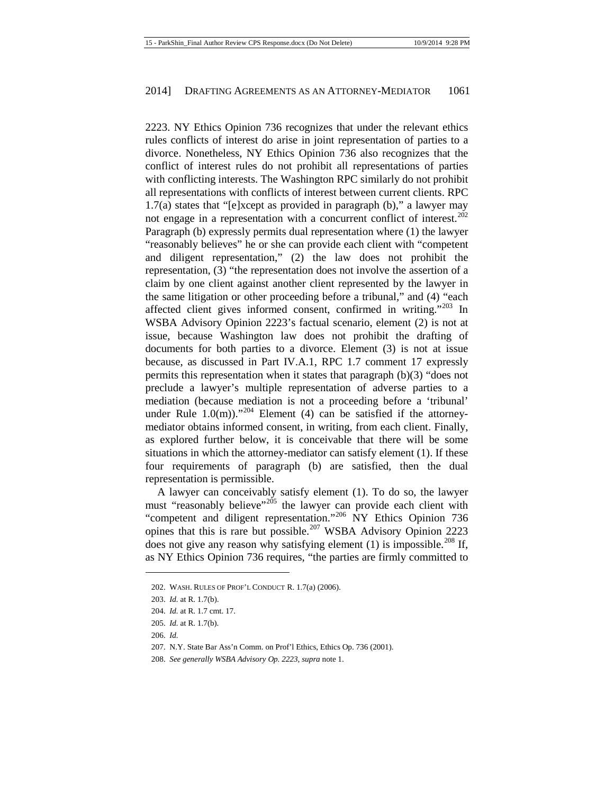2223. NY Ethics Opinion 736 recognizes that under the relevant ethics rules conflicts of interest do arise in joint representation of parties to a divorce. Nonetheless, NY Ethics Opinion 736 also recognizes that the conflict of interest rules do not prohibit all representations of parties with conflicting interests. The Washington RPC similarly do not prohibit all representations with conflicts of interest between current clients. RPC 1.7(a) states that "[e]xcept as provided in paragraph (b)," a lawyer may not engage in a representation with a concurrent conflict of interest.<sup>[202](#page-27-0)</sup> Paragraph (b) expressly permits dual representation where (1) the lawyer "reasonably believes" he or she can provide each client with "competent and diligent representation," (2) the law does not prohibit the representation, (3) "the representation does not involve the assertion of a claim by one client against another client represented by the lawyer in the same litigation or other proceeding before a tribunal," and (4) "each affected client gives informed consent, confirmed in writing."[203](#page-27-1) In WSBA Advisory Opinion 2223's factual scenario, element (2) is not at issue, because Washington law does not prohibit the drafting of documents for both parties to a divorce. Element (3) is not at issue because, as discussed in Part IV.A.1, RPC 1.7 comment 17 expressly permits this representation when it states that paragraph (b)(3) "does not preclude a lawyer's multiple representation of adverse parties to a mediation (because mediation is not a proceeding before a 'tribunal' under Rule  $1.0(m)$ ."<sup>[204](#page-27-2)</sup> Element (4) can be satisfied if the attorneymediator obtains informed consent, in writing, from each client. Finally, as explored further below, it is conceivable that there will be some situations in which the attorney-mediator can satisfy element (1). If these four requirements of paragraph (b) are satisfied, then the dual representation is permissible.

A lawyer can conceivably satisfy element (1). To do so, the lawyer must "reasonably believe"<sup>[205](#page-27-3)</sup> the lawyer can provide each client with "competent and diligent representation."[206](#page-27-4) NY Ethics Opinion 736 opines that this is rare but possible.[207](#page-27-5) WSBA Advisory Opinion 2223 does not give any reason why satisfying element  $(1)$  is impossible.<sup>[208](#page-27-6)</sup> If, as NY Ethics Opinion 736 requires, "the parties are firmly committed to

<span id="page-27-1"></span><span id="page-27-0"></span><sup>202.</sup> WASH. RULES OF PROF'L CONDUCT R. 1.7(a) (2006).

<sup>203.</sup> *Id.* at R. 1.7(b).

<span id="page-27-2"></span><sup>204.</sup> *Id.* at R. 1.7 cmt. 17.

<sup>205.</sup> *Id.* at R. 1.7(b).

<span id="page-27-5"></span><span id="page-27-4"></span><span id="page-27-3"></span><sup>206.</sup> *Id.*

<sup>207.</sup> N.Y. State Bar Ass'n Comm. on Prof'l Ethics, Ethics Op. 736 (2001).

<span id="page-27-6"></span><sup>208.</sup> *See generally WSBA Advisory Op. 2223*, *supra* not[e 1.](#page-1-2)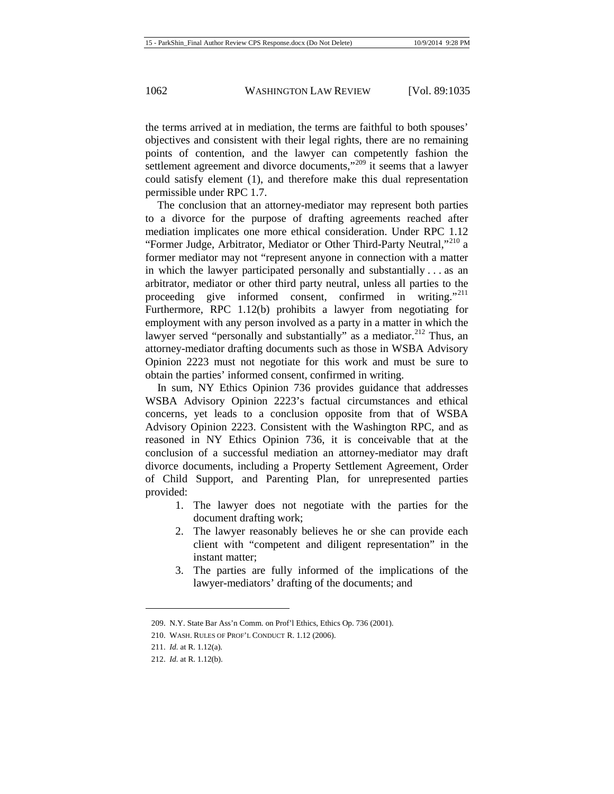the terms arrived at in mediation, the terms are faithful to both spouses' objectives and consistent with their legal rights, there are no remaining points of contention, and the lawyer can competently fashion the settlement agreement and divorce documents,"<sup>[209](#page-28-0)</sup> it seems that a lawyer could satisfy element (1), and therefore make this dual representation permissible under RPC 1.7.

The conclusion that an attorney-mediator may represent both parties to a divorce for the purpose of drafting agreements reached after mediation implicates one more ethical consideration. Under RPC 1.12 "Former Judge, Arbitrator, Mediator or Other Third-Party Neutral,"<sup>[210](#page-28-1)</sup> a former mediator may not "represent anyone in connection with a matter in which the lawyer participated personally and substantially . . . as an arbitrator, mediator or other third party neutral, unless all parties to the proceeding give informed consent, confirmed in writing."<sup>[211](#page-28-2)</sup> Furthermore, RPC 1.12(b) prohibits a lawyer from negotiating for employment with any person involved as a party in a matter in which the lawyer served "personally and substantially" as a mediator.<sup>[212](#page-28-3)</sup> Thus, an attorney-mediator drafting documents such as those in WSBA Advisory Opinion 2223 must not negotiate for this work and must be sure to obtain the parties' informed consent, confirmed in writing.

In sum, NY Ethics Opinion 736 provides guidance that addresses WSBA Advisory Opinion 2223's factual circumstances and ethical concerns, yet leads to a conclusion opposite from that of WSBA Advisory Opinion 2223. Consistent with the Washington RPC, and as reasoned in NY Ethics Opinion 736, it is conceivable that at the conclusion of a successful mediation an attorney-mediator may draft divorce documents, including a Property Settlement Agreement, Order of Child Support, and Parenting Plan, for unrepresented parties provided:

- 1. The lawyer does not negotiate with the parties for the document drafting work;
- 2. The lawyer reasonably believes he or she can provide each client with "competent and diligent representation" in the instant matter;
- 3. The parties are fully informed of the implications of the lawyer-mediators' drafting of the documents; and

<sup>209.</sup> N.Y. State Bar Ass'n Comm. on Prof'l Ethics, Ethics Op. 736 (2001).

<span id="page-28-2"></span><span id="page-28-1"></span><span id="page-28-0"></span><sup>210.</sup> WASH. RULES OF PROF'L CONDUCT R. 1.12 (2006).

<span id="page-28-3"></span><sup>211.</sup> *Id.* at R. 1.12(a).

<sup>212.</sup> *Id.* at R. 1.12(b).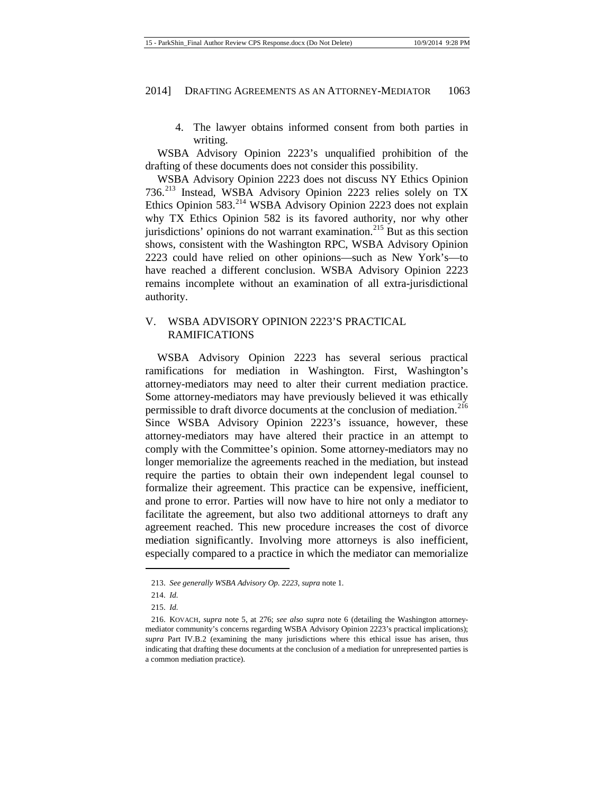4. The lawyer obtains informed consent from both parties in writing.

WSBA Advisory Opinion 2223's unqualified prohibition of the drafting of these documents does not consider this possibility.

WSBA Advisory Opinion 2223 does not discuss NY Ethics Opinion 736.[213](#page-29-0) Instead, WSBA Advisory Opinion 2223 relies solely on TX Ethics Opinion  $583.<sup>214</sup>$  $583.<sup>214</sup>$  $583.<sup>214</sup>$  WSBA Advisory Opinion 2223 does not explain why TX Ethics Opinion 582 is its favored authority, nor why other jurisdictions' opinions do not warrant examination.<sup>[215](#page-29-2)</sup> But as this section shows, consistent with the Washington RPC, WSBA Advisory Opinion 2223 could have relied on other opinions—such as New York's—to have reached a different conclusion. WSBA Advisory Opinion 2223 remains incomplete without an examination of all extra-jurisdictional authority.

# V. WSBA ADVISORY OPINION 2223'S PRACTICAL RAMIFICATIONS

WSBA Advisory Opinion 2223 has several serious practical ramifications for mediation in Washington. First, Washington's attorney-mediators may need to alter their current mediation practice. Some attorney-mediators may have previously believed it was ethically permissible to draft divorce documents at the conclusion of mediation.<sup>[216](#page-29-3)</sup> Since WSBA Advisory Opinion 2223's issuance, however, these attorney-mediators may have altered their practice in an attempt to comply with the Committee's opinion. Some attorney-mediators may no longer memorialize the agreements reached in the mediation, but instead require the parties to obtain their own independent legal counsel to formalize their agreement. This practice can be expensive, inefficient, and prone to error. Parties will now have to hire not only a mediator to facilitate the agreement, but also two additional attorneys to draft any agreement reached. This new procedure increases the cost of divorce mediation significantly. Involving more attorneys is also inefficient, especially compared to a practice in which the mediator can memorialize

<span id="page-29-0"></span><sup>213.</sup> *See generally WSBA Advisory Op. 2223*, *supra* not[e 1](#page-1-2)*.*

<sup>214.</sup> *Id.*

<sup>215.</sup> *Id.*

<span id="page-29-3"></span><span id="page-29-2"></span><span id="page-29-1"></span><sup>216.</sup> KOVACH, *supra* note [5,](#page-2-9) at 276; *see also supra* note [6](#page-2-10) (detailing the Washington attorneymediator community's concerns regarding WSBA Advisory Opinion 2223's practical implications); *supra* Part IV.B.2 (examining the many jurisdictions where this ethical issue has arisen, thus indicating that drafting these documents at the conclusion of a mediation for unrepresented parties is a common mediation practice).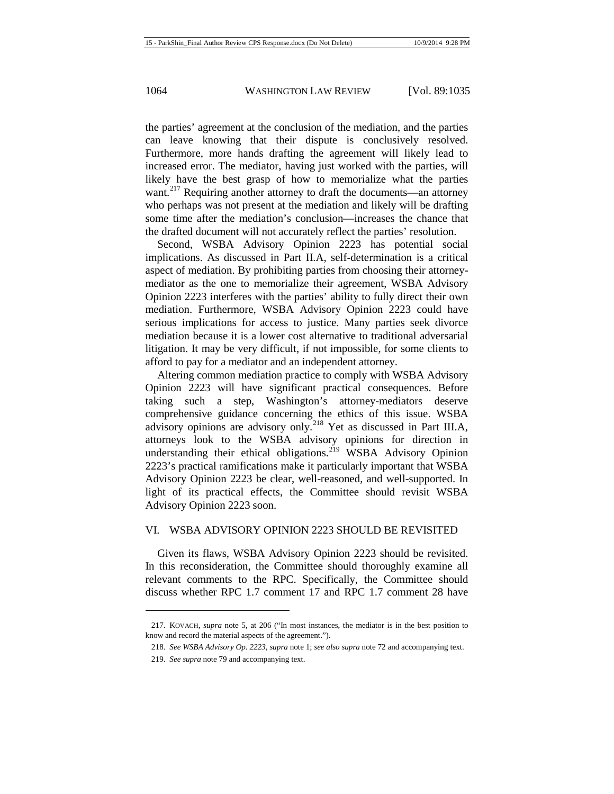the parties' agreement at the conclusion of the mediation, and the parties can leave knowing that their dispute is conclusively resolved. Furthermore, more hands drafting the agreement will likely lead to increased error. The mediator, having just worked with the parties, will likely have the best grasp of how to memorialize what the parties want.<sup>[217](#page-30-0)</sup> Requiring another attorney to draft the documents—an attorney who perhaps was not present at the mediation and likely will be drafting some time after the mediation's conclusion—increases the chance that the drafted document will not accurately reflect the parties' resolution.

Second, WSBA Advisory Opinion 2223 has potential social implications. As discussed in Part II.A, self-determination is a critical aspect of mediation. By prohibiting parties from choosing their attorneymediator as the one to memorialize their agreement, WSBA Advisory Opinion 2223 interferes with the parties' ability to fully direct their own mediation. Furthermore, WSBA Advisory Opinion 2223 could have serious implications for access to justice. Many parties seek divorce mediation because it is a lower cost alternative to traditional adversarial litigation. It may be very difficult, if not impossible, for some clients to afford to pay for a mediator and an independent attorney.

Altering common mediation practice to comply with WSBA Advisory Opinion 2223 will have significant practical consequences. Before taking such a step, Washington's attorney-mediators deserve comprehensive guidance concerning the ethics of this issue. WSBA advisory opinions are advisory only.<sup>[218](#page-30-1)</sup> Yet as discussed in Part III.A, attorneys look to the WSBA advisory opinions for direction in understanding their ethical obligations.<sup>[219](#page-30-2)</sup> WSBA Advisory Opinion 2223's practical ramifications make it particularly important that WSBA Advisory Opinion 2223 be clear, well-reasoned, and well-supported. In light of its practical effects, the Committee should revisit WSBA Advisory Opinion 2223 soon.

#### VI. WSBA ADVISORY OPINION 2223 SHOULD BE REVISITED

Given its flaws, WSBA Advisory Opinion 2223 should be revisited. In this reconsideration, the Committee should thoroughly examine all relevant comments to the RPC. Specifically, the Committee should discuss whether RPC 1.7 comment 17 and RPC 1.7 comment 28 have

<span id="page-30-2"></span><span id="page-30-1"></span><span id="page-30-0"></span><sup>217.</sup> KOVACH, *supra* not[e 5,](#page-2-9) at 206 ("In most instances, the mediator is in the best position to know and record the material aspects of the agreement.").

<sup>218.</sup> *See WSBA Advisory Op. 2223*, *supra* not[e 1;](#page-1-2) *see also supra* not[e 72](#page-9-9) and accompanying text.

<sup>219.</sup> *See supra* not[e 79](#page-9-0) and accompanying text.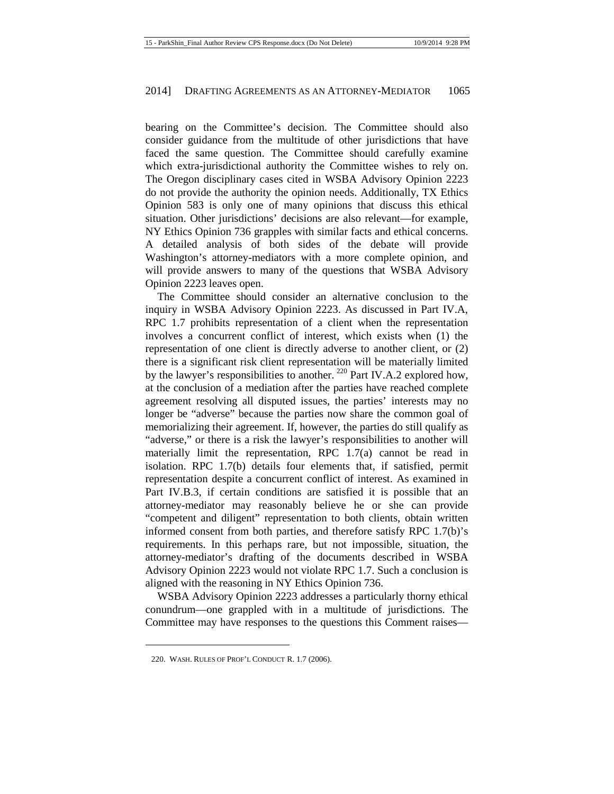bearing on the Committee's decision. The Committee should also consider guidance from the multitude of other jurisdictions that have faced the same question. The Committee should carefully examine which extra-jurisdictional authority the Committee wishes to rely on. The Oregon disciplinary cases cited in WSBA Advisory Opinion 2223 do not provide the authority the opinion needs. Additionally, TX Ethics Opinion 583 is only one of many opinions that discuss this ethical situation. Other jurisdictions' decisions are also relevant—for example, NY Ethics Opinion 736 grapples with similar facts and ethical concerns. A detailed analysis of both sides of the debate will provide Washington's attorney-mediators with a more complete opinion, and will provide answers to many of the questions that WSBA Advisory Opinion 2223 leaves open.

The Committee should consider an alternative conclusion to the inquiry in WSBA Advisory Opinion 2223. As discussed in Part IV.A, RPC 1.7 prohibits representation of a client when the representation involves a concurrent conflict of interest, which exists when (1) the representation of one client is directly adverse to another client, or (2) there is a significant risk client representation will be materially limited by the lawyer's responsibilities to another.  $^{220}$  $^{220}$  $^{220}$  Part IV.A.2 explored how, at the conclusion of a mediation after the parties have reached complete agreement resolving all disputed issues, the parties' interests may no longer be "adverse" because the parties now share the common goal of memorializing their agreement. If, however, the parties do still qualify as "adverse," or there is a risk the lawyer's responsibilities to another will materially limit the representation, RPC 1.7(a) cannot be read in isolation. RPC 1.7(b) details four elements that, if satisfied, permit representation despite a concurrent conflict of interest. As examined in Part IV.B.3, if certain conditions are satisfied it is possible that an attorney-mediator may reasonably believe he or she can provide "competent and diligent" representation to both clients, obtain written informed consent from both parties, and therefore satisfy RPC 1.7(b)'s requirements. In this perhaps rare, but not impossible, situation, the attorney-mediator's drafting of the documents described in WSBA Advisory Opinion 2223 would not violate RPC 1.7. Such a conclusion is aligned with the reasoning in NY Ethics Opinion 736.

WSBA Advisory Opinion 2223 addresses a particularly thorny ethical conundrum—one grappled with in a multitude of jurisdictions. The Committee may have responses to the questions this Comment raises—

<span id="page-31-0"></span><sup>220.</sup> WASH. RULES OF PROF'L CONDUCT R. 1.7 (2006).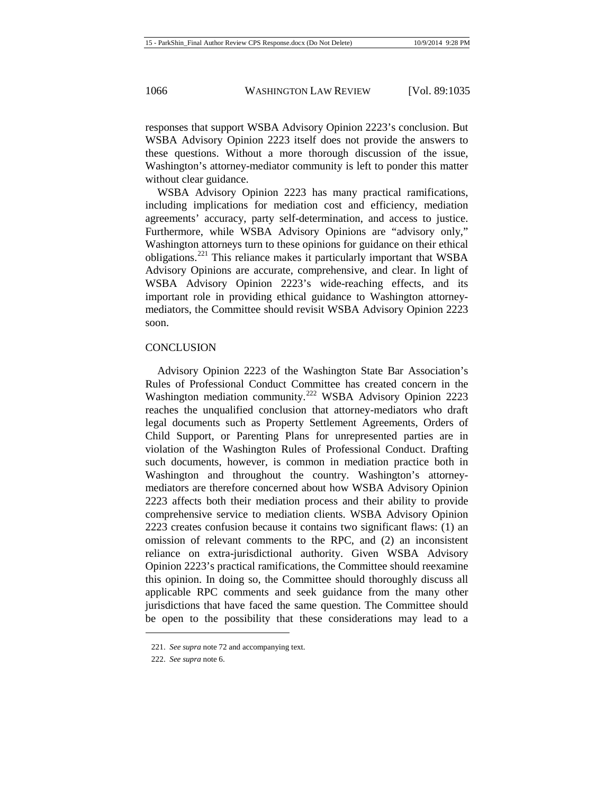responses that support WSBA Advisory Opinion 2223's conclusion. But WSBA Advisory Opinion 2223 itself does not provide the answers to these questions. Without a more thorough discussion of the issue, Washington's attorney-mediator community is left to ponder this matter without clear guidance.

WSBA Advisory Opinion 2223 has many practical ramifications, including implications for mediation cost and efficiency, mediation agreements' accuracy, party self-determination, and access to justice. Furthermore, while WSBA Advisory Opinions are "advisory only," Washington attorneys turn to these opinions for guidance on their ethical obligations.<sup>[221](#page-32-0)</sup> This reliance makes it particularly important that WSBA Advisory Opinions are accurate, comprehensive, and clear. In light of WSBA Advisory Opinion 2223's wide-reaching effects, and its important role in providing ethical guidance to Washington attorneymediators, the Committee should revisit WSBA Advisory Opinion 2223 soon.

# **CONCLUSION**

Advisory Opinion 2223 of the Washington State Bar Association's Rules of Professional Conduct Committee has created concern in the Washington mediation community.<sup>[222](#page-32-1)</sup> WSBA Advisory Opinion 2223 reaches the unqualified conclusion that attorney-mediators who draft legal documents such as Property Settlement Agreements, Orders of Child Support, or Parenting Plans for unrepresented parties are in violation of the Washington Rules of Professional Conduct. Drafting such documents, however, is common in mediation practice both in Washington and throughout the country. Washington's attorneymediators are therefore concerned about how WSBA Advisory Opinion 2223 affects both their mediation process and their ability to provide comprehensive service to mediation clients. WSBA Advisory Opinion 2223 creates confusion because it contains two significant flaws: (1) an omission of relevant comments to the RPC, and (2) an inconsistent reliance on extra-jurisdictional authority. Given WSBA Advisory Opinion 2223's practical ramifications, the Committee should reexamine this opinion. In doing so, the Committee should thoroughly discuss all applicable RPC comments and seek guidance from the many other jurisdictions that have faced the same question. The Committee should be open to the possibility that these considerations may lead to a

<span id="page-32-0"></span><sup>221.</sup> *See supra* not[e 72](#page-9-9) and accompanying text.

<span id="page-32-1"></span><sup>222.</sup> *See supra* not[e 6.](#page-2-10)